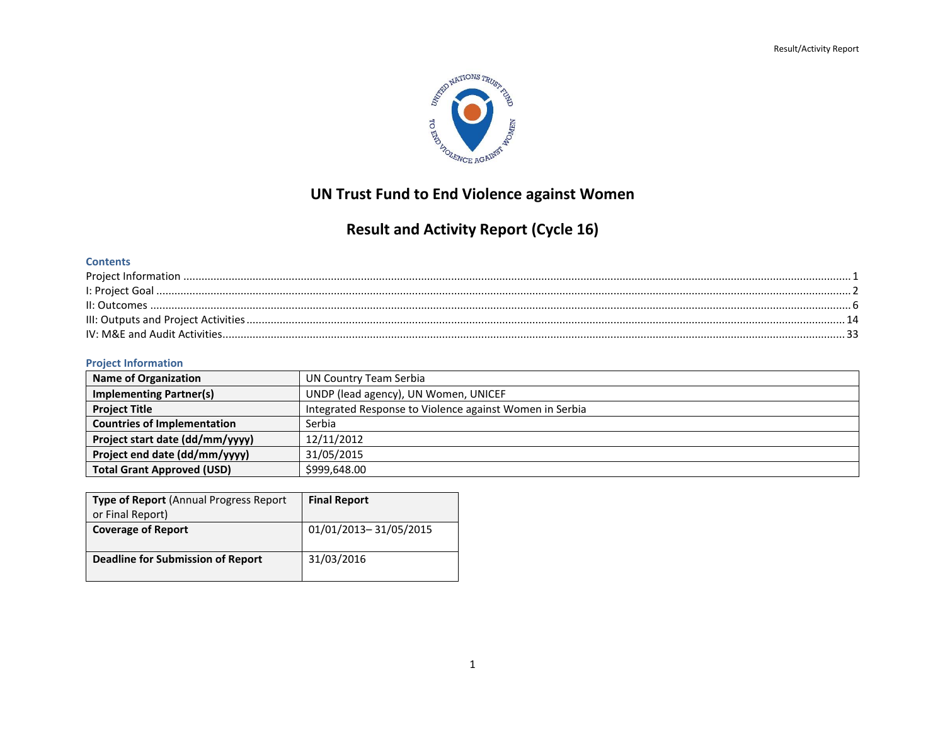

## **UN Trust Fund to End Violence against Women**

# **Result and Activity Report (Cycle 16)**

### **Contents**

| II: Outcomes |  |
|--------------|--|
|              |  |
|              |  |

### <span id="page-0-0"></span>**Project Information**

| Name of Organization               | UN Country Team Serbia                                  |  |
|------------------------------------|---------------------------------------------------------|--|
| <b>Implementing Partner(s)</b>     | UNDP (lead agency), UN Women, UNICEF                    |  |
| <b>Project Title</b>               | Integrated Response to Violence against Women in Serbia |  |
| <b>Countries of Implementation</b> | Serbia                                                  |  |
| Project start date (dd/mm/yyyy)    | 12/11/2012                                              |  |
| Project end date (dd/mm/yyyy)      | 31/05/2015                                              |  |
| <b>Total Grant Approved (USD)</b>  | \$999,648.00                                            |  |

| <b>Type of Report</b> (Annual Progress Report<br>or Final Report) | <b>Final Report</b>   |
|-------------------------------------------------------------------|-----------------------|
| <b>Coverage of Report</b>                                         | 01/01/2013-31/05/2015 |
| <b>Deadline for Submission of Report</b>                          | 31/03/2016            |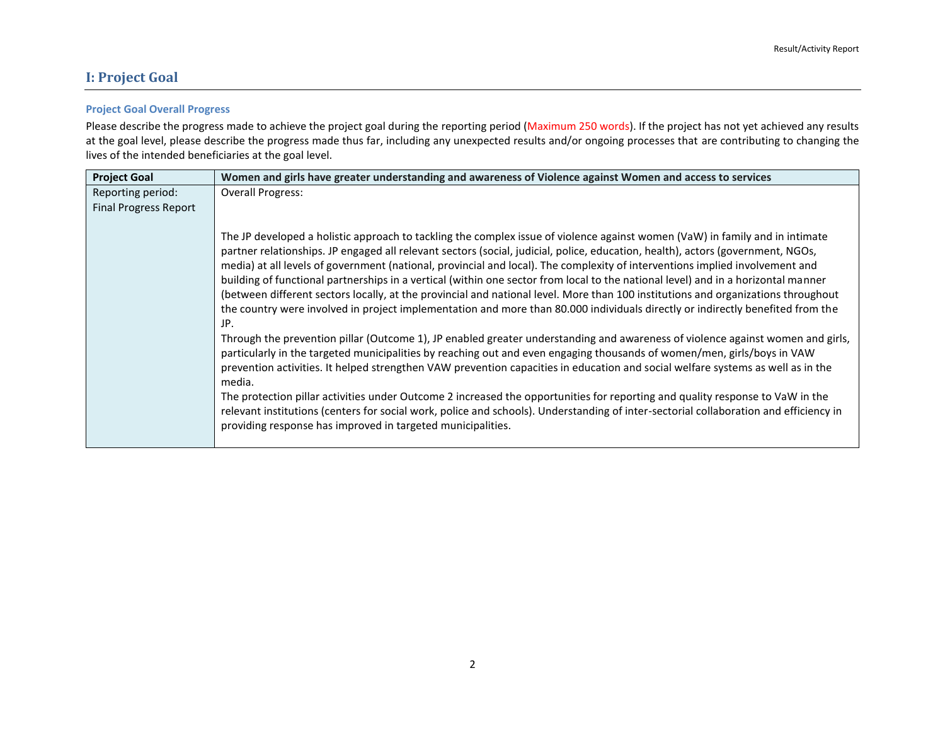### <span id="page-1-0"></span>**I: Project Goal**

### **Project Goal Overall Progress**

Please describe the progress made to achieve the project goal during the reporting period (Maximum 250 words). If the project has not yet achieved any results at the goal level, please describe the progress made thus far, including any unexpected results and/or ongoing processes that are contributing to changing the lives of the intended beneficiaries at the goal level.

| <b>Overall Progress:</b><br>Reporting period:<br><b>Final Progress Report</b>                                                                                                                                                                                                                                                                                                                                                                                                                                                                                                                                                                                                                                                                                                                                                                                                                                                                                                                                                                                                                                                                                                                                                                                                                                                                                                                                                                                                                                                                                         |
|-----------------------------------------------------------------------------------------------------------------------------------------------------------------------------------------------------------------------------------------------------------------------------------------------------------------------------------------------------------------------------------------------------------------------------------------------------------------------------------------------------------------------------------------------------------------------------------------------------------------------------------------------------------------------------------------------------------------------------------------------------------------------------------------------------------------------------------------------------------------------------------------------------------------------------------------------------------------------------------------------------------------------------------------------------------------------------------------------------------------------------------------------------------------------------------------------------------------------------------------------------------------------------------------------------------------------------------------------------------------------------------------------------------------------------------------------------------------------------------------------------------------------------------------------------------------------|
|                                                                                                                                                                                                                                                                                                                                                                                                                                                                                                                                                                                                                                                                                                                                                                                                                                                                                                                                                                                                                                                                                                                                                                                                                                                                                                                                                                                                                                                                                                                                                                       |
|                                                                                                                                                                                                                                                                                                                                                                                                                                                                                                                                                                                                                                                                                                                                                                                                                                                                                                                                                                                                                                                                                                                                                                                                                                                                                                                                                                                                                                                                                                                                                                       |
| The JP developed a holistic approach to tackling the complex issue of violence against women (VaW) in family and in intimate<br>partner relationships. JP engaged all relevant sectors (social, judicial, police, education, health), actors (government, NGOs,<br>media) at all levels of government (national, provincial and local). The complexity of interventions implied involvement and<br>building of functional partnerships in a vertical (within one sector from local to the national level) and in a horizontal manner<br>(between different sectors locally, at the provincial and national level. More than 100 institutions and organizations throughout<br>the country were involved in project implementation and more than 80.000 individuals directly or indirectly benefited from the<br>JP.<br>Through the prevention pillar (Outcome 1), JP enabled greater understanding and awareness of violence against women and girls,<br>particularly in the targeted municipalities by reaching out and even engaging thousands of women/men, girls/boys in VAW<br>prevention activities. It helped strengthen VAW prevention capacities in education and social welfare systems as well as in the<br>media.<br>The protection pillar activities under Outcome 2 increased the opportunities for reporting and quality response to VaW in the<br>relevant institutions (centers for social work, police and schools). Understanding of inter-sectorial collaboration and efficiency in<br>providing response has improved in targeted municipalities. |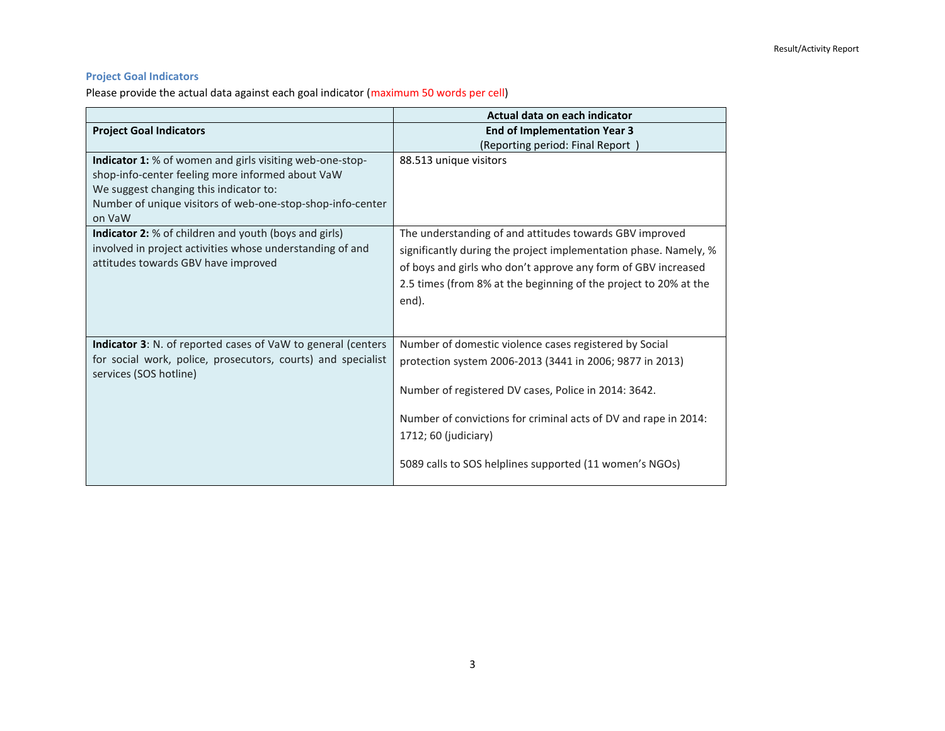### **Project Goal Indicators**

Please provide the actual data against each goal indicator (maximum 50 words per cell)

|                                                                                                                                                                                                                                       | Actual data on each indicator                                                                                                                                                                                                                                                                                                    |
|---------------------------------------------------------------------------------------------------------------------------------------------------------------------------------------------------------------------------------------|----------------------------------------------------------------------------------------------------------------------------------------------------------------------------------------------------------------------------------------------------------------------------------------------------------------------------------|
| <b>Project Goal Indicators</b>                                                                                                                                                                                                        | <b>End of Implementation Year 3</b>                                                                                                                                                                                                                                                                                              |
|                                                                                                                                                                                                                                       | (Reporting period: Final Report)                                                                                                                                                                                                                                                                                                 |
| <b>Indicator 1:</b> % of women and girls visiting web-one-stop-<br>shop-info-center feeling more informed about VaW<br>We suggest changing this indicator to:<br>Number of unique visitors of web-one-stop-shop-info-center<br>on VaW | 88.513 unique visitors                                                                                                                                                                                                                                                                                                           |
| <b>Indicator 2:</b> % of children and youth (boys and girls)<br>involved in project activities whose understanding of and<br>attitudes towards GBV have improved                                                                      | The understanding of and attitudes towards GBV improved<br>significantly during the project implementation phase. Namely, %<br>of boys and girls who don't approve any form of GBV increased<br>2.5 times (from 8% at the beginning of the project to 20% at the<br>end).                                                        |
| <b>Indicator 3:</b> N. of reported cases of VaW to general (centers<br>for social work, police, prosecutors, courts) and specialist<br>services (SOS hotline)                                                                         | Number of domestic violence cases registered by Social<br>protection system 2006-2013 (3441 in 2006; 9877 in 2013)<br>Number of registered DV cases, Police in 2014: 3642.<br>Number of convictions for criminal acts of DV and rape in 2014:<br>1712; 60 (judiciary)<br>5089 calls to SOS helplines supported (11 women's NGOs) |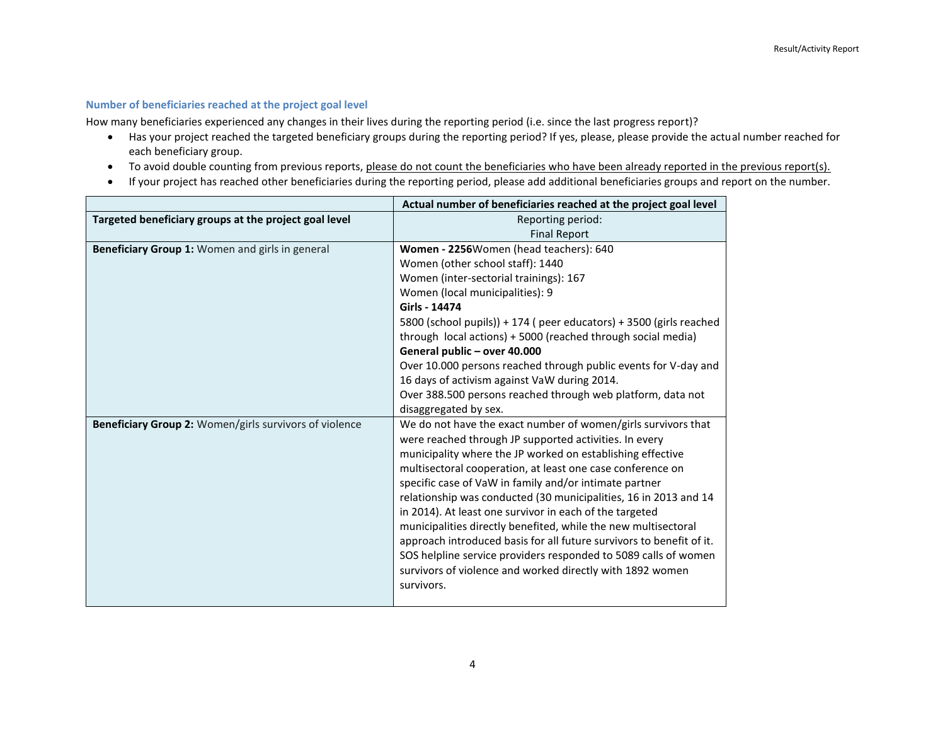#### **Number of beneficiaries reached at the project goal level**

How many beneficiaries experienced any changes in their lives during the reporting period (i.e. since the last progress report)?

- Has your project reached the targeted beneficiary groups during the reporting period? If yes, please, please provide the actual number reached for each beneficiary group.
- To avoid double counting from previous reports, please do not count the beneficiaries who have been already reported in the previous report(s).
- If your project has reached other beneficiaries during the reporting period, please add additional beneficiaries groups and report on the number.

|                                                        | Actual number of beneficiaries reached at the project goal level        |
|--------------------------------------------------------|-------------------------------------------------------------------------|
| Targeted beneficiary groups at the project goal level  | Reporting period:                                                       |
|                                                        | <b>Final Report</b>                                                     |
| Beneficiary Group 1: Women and girls in general        | Women - 2256Women (head teachers): 640                                  |
|                                                        | Women (other school staff): 1440                                        |
|                                                        | Women (inter-sectorial trainings): 167                                  |
|                                                        | Women (local municipalities): 9                                         |
|                                                        | Girls - 14474                                                           |
|                                                        | 5800 (school pupils)) + 174 ( peer educators) + 3500 (girls reached     |
|                                                        | through local actions) + 5000 (reached through social media)            |
|                                                        | General public - over 40.000                                            |
|                                                        | Over 10.000 persons reached through public events for V-day and         |
|                                                        | 16 days of activism against VaW during 2014.                            |
|                                                        | Over 388.500 persons reached through web platform, data not             |
|                                                        | disaggregated by sex.                                                   |
| Beneficiary Group 2: Women/girls survivors of violence | We do not have the exact number of women/girls survivors that           |
|                                                        | were reached through JP supported activities. In every                  |
|                                                        | municipality where the JP worked on establishing effective              |
|                                                        | multisectoral cooperation, at least one case conference on              |
|                                                        | specific case of VaW in family and/or intimate partner                  |
|                                                        | relationship was conducted (30 municipalities, 16 in 2013 and 14        |
|                                                        | in 2014). At least one survivor in each of the targeted                 |
|                                                        | municipalities directly benefited, while the new multisectoral          |
|                                                        | approach introduced basis for all future survivors to benefit of it.    |
|                                                        | SOS helpline service providers responded to 5089 calls of women         |
|                                                        | survivors of violence and worked directly with 1892 women<br>survivors. |
|                                                        |                                                                         |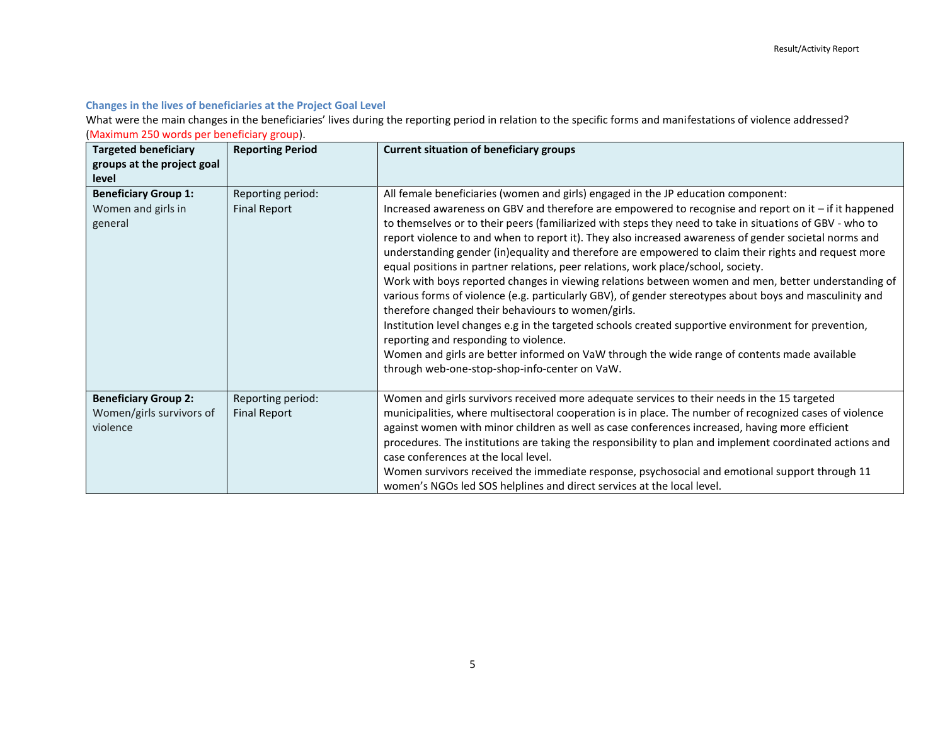### **Changes in the lives of beneficiaries at the Project Goal Level**

What were the main changes in the beneficiaries' lives during the reporting period in relation to the specific forms and manifestations of violence addressed? (Maximum 250 words per beneficiary group).

<span id="page-4-0"></span>

| <b>Targeted beneficiary</b>                                         | <b>Reporting Period</b>                  | <b>Current situation of beneficiary groups</b>                                                                                                                                                                                                                                                                                                                                                                                                                                                                                                                                                                                                                                                                                                                                                                                                                                                                                                                                                                                                                                                                                                                                         |
|---------------------------------------------------------------------|------------------------------------------|----------------------------------------------------------------------------------------------------------------------------------------------------------------------------------------------------------------------------------------------------------------------------------------------------------------------------------------------------------------------------------------------------------------------------------------------------------------------------------------------------------------------------------------------------------------------------------------------------------------------------------------------------------------------------------------------------------------------------------------------------------------------------------------------------------------------------------------------------------------------------------------------------------------------------------------------------------------------------------------------------------------------------------------------------------------------------------------------------------------------------------------------------------------------------------------|
| groups at the project goal<br>level                                 |                                          |                                                                                                                                                                                                                                                                                                                                                                                                                                                                                                                                                                                                                                                                                                                                                                                                                                                                                                                                                                                                                                                                                                                                                                                        |
| <b>Beneficiary Group 1:</b><br>Women and girls in<br>general        | Reporting period:<br><b>Final Report</b> | All female beneficiaries (women and girls) engaged in the JP education component:<br>Increased awareness on GBV and therefore are empowered to recognise and report on it - if it happened<br>to themselves or to their peers (familiarized with steps they need to take in situations of GBV - who to<br>report violence to and when to report it). They also increased awareness of gender societal norms and<br>understanding gender (in)equality and therefore are empowered to claim their rights and request more<br>equal positions in partner relations, peer relations, work place/school, society.<br>Work with boys reported changes in viewing relations between women and men, better understanding of<br>various forms of violence (e.g. particularly GBV), of gender stereotypes about boys and masculinity and<br>therefore changed their behaviours to women/girls.<br>Institution level changes e.g in the targeted schools created supportive environment for prevention,<br>reporting and responding to violence.<br>Women and girls are better informed on VaW through the wide range of contents made available<br>through web-one-stop-shop-info-center on VaW. |
| <b>Beneficiary Group 2:</b><br>Women/girls survivors of<br>violence | Reporting period:<br><b>Final Report</b> | Women and girls survivors received more adequate services to their needs in the 15 targeted<br>municipalities, where multisectoral cooperation is in place. The number of recognized cases of violence<br>against women with minor children as well as case conferences increased, having more efficient<br>procedures. The institutions are taking the responsibility to plan and implement coordinated actions and<br>case conferences at the local level.<br>Women survivors received the immediate response, psychosocial and emotional support through 11<br>women's NGOs led SOS helplines and direct services at the local level.                                                                                                                                                                                                                                                                                                                                                                                                                                                                                                                                               |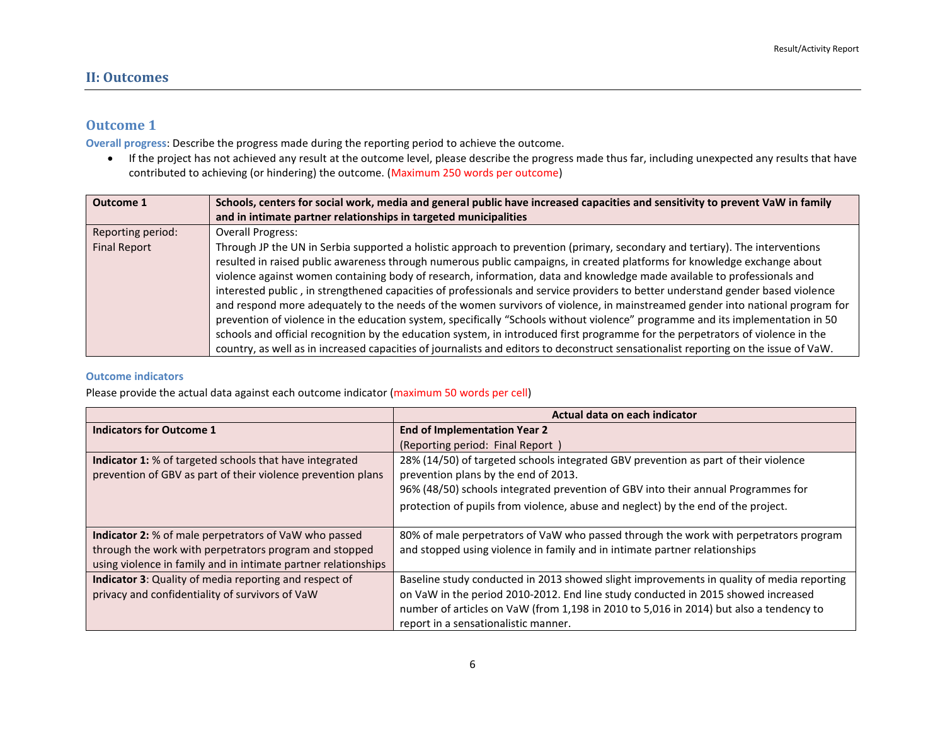### **Outcome 1**

**Overall progress**: Describe the progress made during the reporting period to achieve the outcome.

 If the project has not achieved any result at the outcome level, please describe the progress made thus far, including unexpected any results that have contributed to achieving (or hindering) the outcome. (Maximum 250 words per outcome)

| <b>Outcome 1</b>    | Schools, centers for social work, media and general public have increased capacities and sensitivity to prevent VaW in family       |
|---------------------|-------------------------------------------------------------------------------------------------------------------------------------|
|                     | and in intimate partner relationships in targeted municipalities                                                                    |
| Reporting period:   | <b>Overall Progress:</b>                                                                                                            |
| <b>Final Report</b> | Through JP the UN in Serbia supported a holistic approach to prevention (primary, secondary and tertiary). The interventions        |
|                     | resulted in raised public awareness through numerous public campaigns, in created platforms for knowledge exchange about            |
|                     | violence against women containing body of research, information, data and knowledge made available to professionals and             |
|                     | interested public, in strengthened capacities of professionals and service providers to better understand gender based violence     |
|                     | and respond more adequately to the needs of the women survivors of violence, in mainstreamed gender into national program for       |
|                     | prevention of violence in the education system, specifically "Schools without violence" programme and its implementation in 50      |
|                     | schools and official recognition by the education system, in introduced first programme for the perpetrators of violence in the     |
|                     | country, as well as in increased capacities of journalists and editors to deconstruct sensationalist reporting on the issue of VaW. |

### **Outcome indicators**

Please provide the actual data against each outcome indicator (maximum 50 words per cell)

|                                                                | Actual data on each indicator                                                             |
|----------------------------------------------------------------|-------------------------------------------------------------------------------------------|
| <b>Indicators for Outcome 1</b>                                | <b>End of Implementation Year 2</b>                                                       |
|                                                                | (Reporting period: Final Report)                                                          |
| Indicator 1: % of targeted schools that have integrated        | 28% (14/50) of targeted schools integrated GBV prevention as part of their violence       |
| prevention of GBV as part of their violence prevention plans   | prevention plans by the end of 2013.                                                      |
|                                                                | 96% (48/50) schools integrated prevention of GBV into their annual Programmes for         |
|                                                                | protection of pupils from violence, abuse and neglect) by the end of the project.         |
|                                                                |                                                                                           |
| Indicator 2: % of male perpetrators of VaW who passed          | 80% of male perpetrators of VaW who passed through the work with perpetrators program     |
| through the work with perpetrators program and stopped         | and stopped using violence in family and in intimate partner relationships                |
| using violence in family and in intimate partner relationships |                                                                                           |
| Indicator 3: Quality of media reporting and respect of         | Baseline study conducted in 2013 showed slight improvements in quality of media reporting |
| privacy and confidentiality of survivors of VaW                | on VaW in the period 2010-2012. End line study conducted in 2015 showed increased         |
|                                                                | number of articles on VaW (from 1,198 in 2010 to 5,016 in 2014) but also a tendency to    |
|                                                                | report in a sensationalistic manner.                                                      |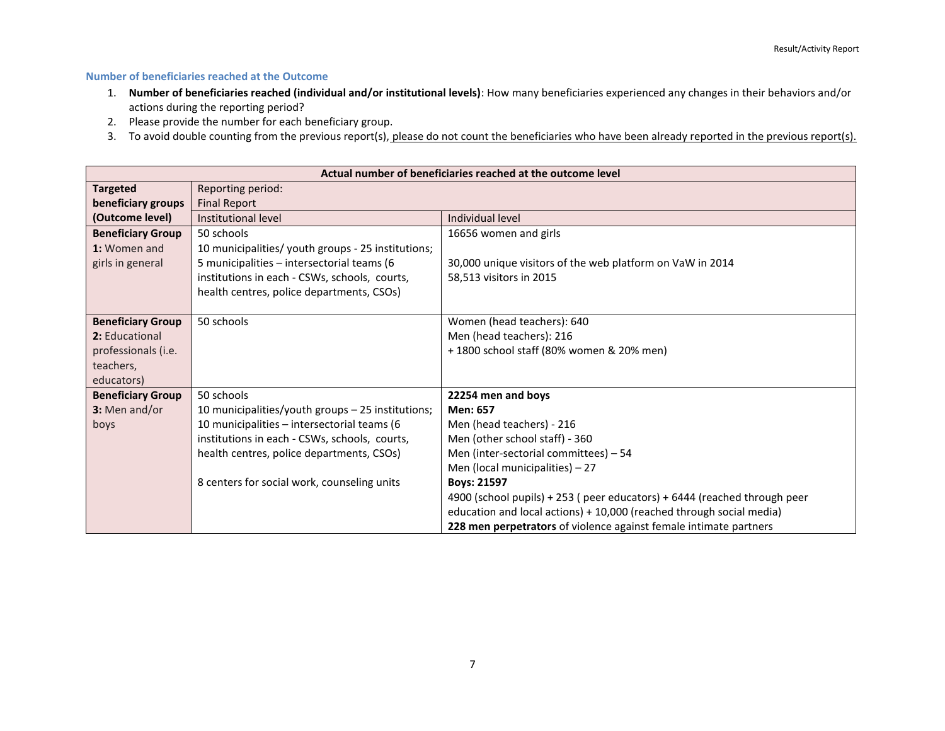### **Number of beneficiaries reached at the Outcome**

- 1. **Number of beneficiaries reached (individual and/or institutional levels)**: How many beneficiaries experienced any changes in their behaviors and/or actions during the reporting period?
- 2. Please provide the number for each beneficiary group.
- 3. To avoid double counting from the previous report(s), please do not count the beneficiaries who have been already reported in the previous report(s).

| Actual number of beneficiaries reached at the outcome level |                                                    |                                                                          |  |
|-------------------------------------------------------------|----------------------------------------------------|--------------------------------------------------------------------------|--|
| <b>Targeted</b>                                             | Reporting period:                                  |                                                                          |  |
| beneficiary groups                                          | <b>Final Report</b>                                |                                                                          |  |
| (Outcome level)                                             | Institutional level                                | Individual level                                                         |  |
| <b>Beneficiary Group</b>                                    | 50 schools                                         | 16656 women and girls                                                    |  |
| 1: Women and                                                | 10 municipalities/ youth groups - 25 institutions; |                                                                          |  |
| girls in general                                            | 5 municipalities - intersectorial teams (6         | 30,000 unique visitors of the web platform on VaW in 2014                |  |
|                                                             | institutions in each - CSWs, schools, courts,      | 58,513 visitors in 2015                                                  |  |
|                                                             | health centres, police departments, CSOs)          |                                                                          |  |
|                                                             |                                                    |                                                                          |  |
| <b>Beneficiary Group</b>                                    | 50 schools                                         | Women (head teachers): 640                                               |  |
| 2: Educational                                              |                                                    | Men (head teachers): 216                                                 |  |
| professionals (i.e.                                         |                                                    | +1800 school staff (80% women & 20% men)                                 |  |
| teachers,                                                   |                                                    |                                                                          |  |
| educators)                                                  |                                                    |                                                                          |  |
| <b>Beneficiary Group</b>                                    | 50 schools                                         | 22254 men and boys                                                       |  |
| 3: Men and/or                                               | 10 municipalities/youth groups - 25 institutions;  | Men: 657                                                                 |  |
| boys                                                        | 10 municipalities - intersectorial teams (6        | Men (head teachers) - 216                                                |  |
|                                                             | institutions in each - CSWs, schools, courts,      | Men (other school staff) - 360                                           |  |
|                                                             | health centres, police departments, CSOs)          | Men (inter-sectorial committees) - 54                                    |  |
|                                                             |                                                    | Men (local municipalities) $-27$                                         |  |
|                                                             | 8 centers for social work, counseling units        | <b>Boys: 21597</b>                                                       |  |
|                                                             |                                                    | 4900 (school pupils) + 253 (peer educators) + 6444 (reached through peer |  |
|                                                             |                                                    | education and local actions) + 10,000 (reached through social media)     |  |
|                                                             |                                                    | 228 men perpetrators of violence against female intimate partners        |  |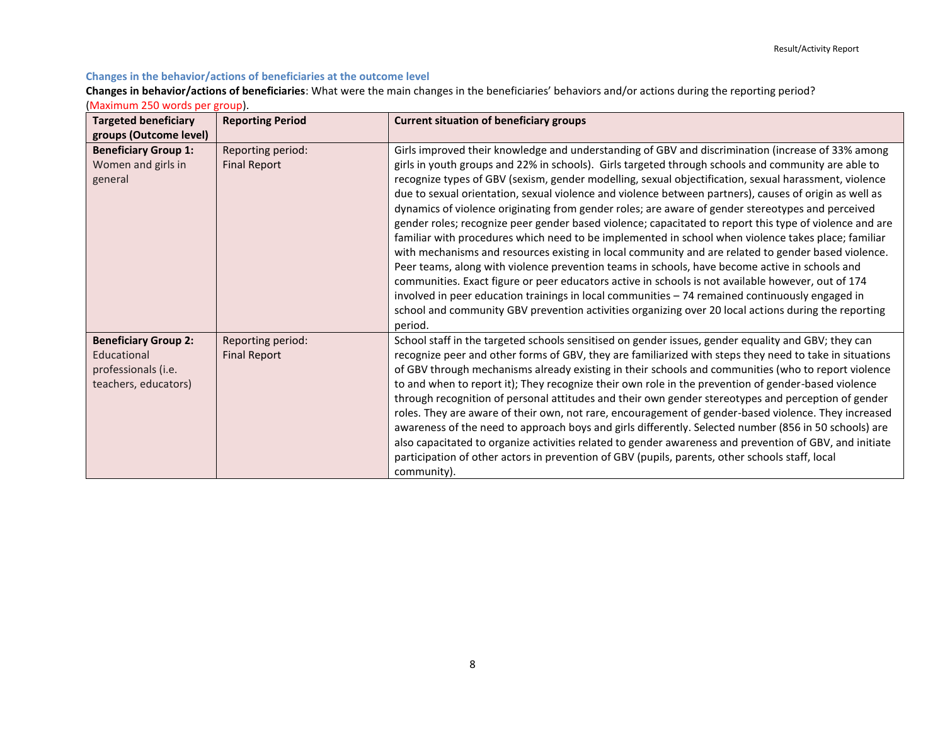### **Changes in the behavior/actions of beneficiaries at the outcome level**

**Changes in behavior/actions of beneficiaries**: What were the main changes in the beneficiaries' behaviors and/or actions during the reporting period?

| (Maximum 250 words per group). |  |  |  |  |
|--------------------------------|--|--|--|--|
|--------------------------------|--|--|--|--|

| <b>Targeted beneficiary</b><br>groups (Outcome level)                                     | <b>Reporting Period</b>                  | <b>Current situation of beneficiary groups</b>                                                                                                                                                                                                                                                                                                                                                                                                                                                                                                                                                                                                                                                                                                                                                                                                                                                                                                                                                                                                                                                                                                                                                                                                                                          |
|-------------------------------------------------------------------------------------------|------------------------------------------|-----------------------------------------------------------------------------------------------------------------------------------------------------------------------------------------------------------------------------------------------------------------------------------------------------------------------------------------------------------------------------------------------------------------------------------------------------------------------------------------------------------------------------------------------------------------------------------------------------------------------------------------------------------------------------------------------------------------------------------------------------------------------------------------------------------------------------------------------------------------------------------------------------------------------------------------------------------------------------------------------------------------------------------------------------------------------------------------------------------------------------------------------------------------------------------------------------------------------------------------------------------------------------------------|
| <b>Beneficiary Group 1:</b><br>Women and girls in<br>general                              | Reporting period:<br><b>Final Report</b> | Girls improved their knowledge and understanding of GBV and discrimination (increase of 33% among<br>girls in youth groups and 22% in schools). Girls targeted through schools and community are able to<br>recognize types of GBV (sexism, gender modelling, sexual objectification, sexual harassment, violence<br>due to sexual orientation, sexual violence and violence between partners), causes of origin as well as<br>dynamics of violence originating from gender roles; are aware of gender stereotypes and perceived<br>gender roles; recognize peer gender based violence; capacitated to report this type of violence and are<br>familiar with procedures which need to be implemented in school when violence takes place; familiar<br>with mechanisms and resources existing in local community and are related to gender based violence.<br>Peer teams, along with violence prevention teams in schools, have become active in schools and<br>communities. Exact figure or peer educators active in schools is not available however, out of 174<br>involved in peer education trainings in local communities - 74 remained continuously engaged in<br>school and community GBV prevention activities organizing over 20 local actions during the reporting<br>period. |
| <b>Beneficiary Group 2:</b><br>Educational<br>professionals (i.e.<br>teachers, educators) | Reporting period:<br><b>Final Report</b> | School staff in the targeted schools sensitised on gender issues, gender equality and GBV; they can<br>recognize peer and other forms of GBV, they are familiarized with steps they need to take in situations<br>of GBV through mechanisms already existing in their schools and communities (who to report violence<br>to and when to report it); They recognize their own role in the prevention of gender-based violence<br>through recognition of personal attitudes and their own gender stereotypes and perception of gender<br>roles. They are aware of their own, not rare, encouragement of gender-based violence. They increased<br>awareness of the need to approach boys and girls differently. Selected number (856 in 50 schools) are<br>also capacitated to organize activities related to gender awareness and prevention of GBV, and initiate<br>participation of other actors in prevention of GBV (pupils, parents, other schools staff, local<br>community).                                                                                                                                                                                                                                                                                                       |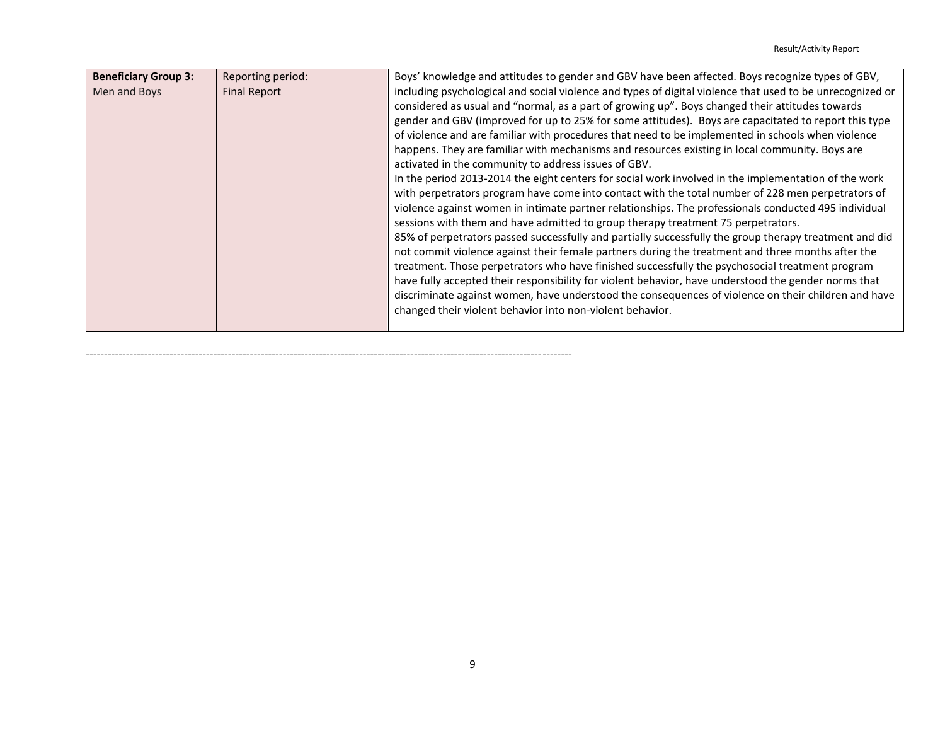| <b>Beneficiary Group 3:</b> | Reporting period:   | Boys' knowledge and attitudes to gender and GBV have been affected. Boys recognize types of GBV,          |
|-----------------------------|---------------------|-----------------------------------------------------------------------------------------------------------|
| Men and Boys                | <b>Final Report</b> | including psychological and social violence and types of digital violence that used to be unrecognized or |
|                             |                     | considered as usual and "normal, as a part of growing up". Boys changed their attitudes towards           |
|                             |                     | gender and GBV (improved for up to 25% for some attitudes). Boys are capacitated to report this type      |
|                             |                     | of violence and are familiar with procedures that need to be implemented in schools when violence         |
|                             |                     | happens. They are familiar with mechanisms and resources existing in local community. Boys are            |
|                             |                     | activated in the community to address issues of GBV.                                                      |
|                             |                     | In the period 2013-2014 the eight centers for social work involved in the implementation of the work      |
|                             |                     | with perpetrators program have come into contact with the total number of 228 men perpetrators of         |
|                             |                     | violence against women in intimate partner relationships. The professionals conducted 495 individual      |
|                             |                     | sessions with them and have admitted to group therapy treatment 75 perpetrators.                          |
|                             |                     | 85% of perpetrators passed successfully and partially successfully the group therapy treatment and did    |
|                             |                     | not commit violence against their female partners during the treatment and three months after the         |
|                             |                     | treatment. Those perpetrators who have finished successfully the psychosocial treatment program           |
|                             |                     | have fully accepted their responsibility for violent behavior, have understood the gender norms that      |
|                             |                     | discriminate against women, have understood the consequences of violence on their children and have       |
|                             |                     | changed their violent behavior into non-violent behavior.                                                 |
|                             |                     |                                                                                                           |

-------------------------------------------------------------------------------------------------------------------------------------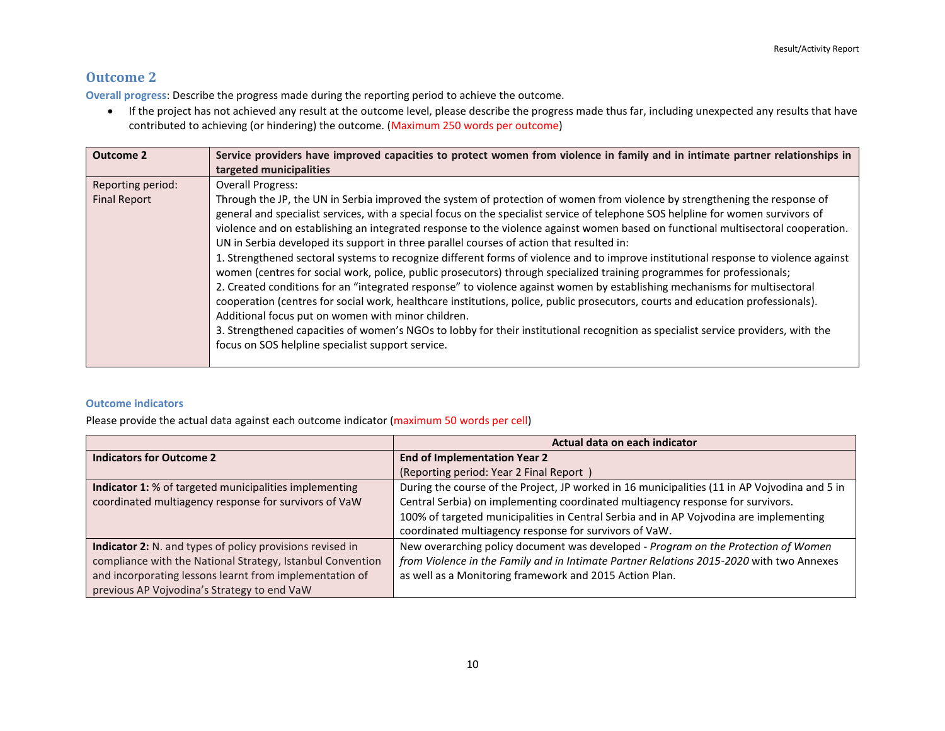### **Outcome 2**

**Overall progress**: Describe the progress made during the reporting period to achieve the outcome.

 If the project has not achieved any result at the outcome level, please describe the progress made thus far, including unexpected any results that have contributed to achieving (or hindering) the outcome. (Maximum 250 words per outcome)

| <b>Outcome 2</b>                         | Service providers have improved capacities to protect women from violence in family and in intimate partner relationships in<br>targeted municipalities                                                                                                                                                                                                                                                                                                                                                                                                                                                                                                                                                                                                                                                                                                                                                                                                                                                                                                                                                                                                                                                                                                                                                     |
|------------------------------------------|-------------------------------------------------------------------------------------------------------------------------------------------------------------------------------------------------------------------------------------------------------------------------------------------------------------------------------------------------------------------------------------------------------------------------------------------------------------------------------------------------------------------------------------------------------------------------------------------------------------------------------------------------------------------------------------------------------------------------------------------------------------------------------------------------------------------------------------------------------------------------------------------------------------------------------------------------------------------------------------------------------------------------------------------------------------------------------------------------------------------------------------------------------------------------------------------------------------------------------------------------------------------------------------------------------------|
| Reporting period:<br><b>Final Report</b> | <b>Overall Progress:</b><br>Through the JP, the UN in Serbia improved the system of protection of women from violence by strengthening the response of<br>general and specialist services, with a special focus on the specialist service of telephone SOS helpline for women survivors of<br>violence and on establishing an integrated response to the violence against women based on functional multisectoral cooperation.<br>UN in Serbia developed its support in three parallel courses of action that resulted in:<br>1. Strengthened sectoral systems to recognize different forms of violence and to improve institutional response to violence against<br>women (centres for social work, police, public prosecutors) through specialized training programmes for professionals;<br>2. Created conditions for an "integrated response" to violence against women by establishing mechanisms for multisectoral<br>cooperation (centres for social work, healthcare institutions, police, public prosecutors, courts and education professionals).<br>Additional focus put on women with minor children.<br>3. Strengthened capacities of women's NGOs to lobby for their institutional recognition as specialist service providers, with the<br>focus on SOS helpline specialist support service. |

### **Outcome indicators**

Please provide the actual data against each outcome indicator (maximum 50 words per cell)

|                                                            | Actual data on each indicator                                                                 |
|------------------------------------------------------------|-----------------------------------------------------------------------------------------------|
| <b>Indicators for Outcome 2</b>                            | <b>End of Implementation Year 2</b>                                                           |
|                                                            | (Reporting period: Year 2 Final Report)                                                       |
| Indicator 1: % of targeted municipalities implementing     | During the course of the Project, JP worked in 16 municipalities (11 in AP Vojvodina and 5 in |
| coordinated multiagency response for survivors of VaW      | Central Serbia) on implementing coordinated multiagency response for survivors.               |
|                                                            | 100% of targeted municipalities in Central Serbia and in AP Vojvodina are implementing        |
|                                                            | coordinated multiagency response for survivors of VaW.                                        |
| Indicator 2: N. and types of policy provisions revised in  | New overarching policy document was developed - Program on the Protection of Women            |
| compliance with the National Strategy, Istanbul Convention | from Violence in the Family and in Intimate Partner Relations 2015-2020 with two Annexes      |
| and incorporating lessons learnt from implementation of    | as well as a Monitoring framework and 2015 Action Plan.                                       |
| previous AP Vojvodina's Strategy to end VaW                |                                                                                               |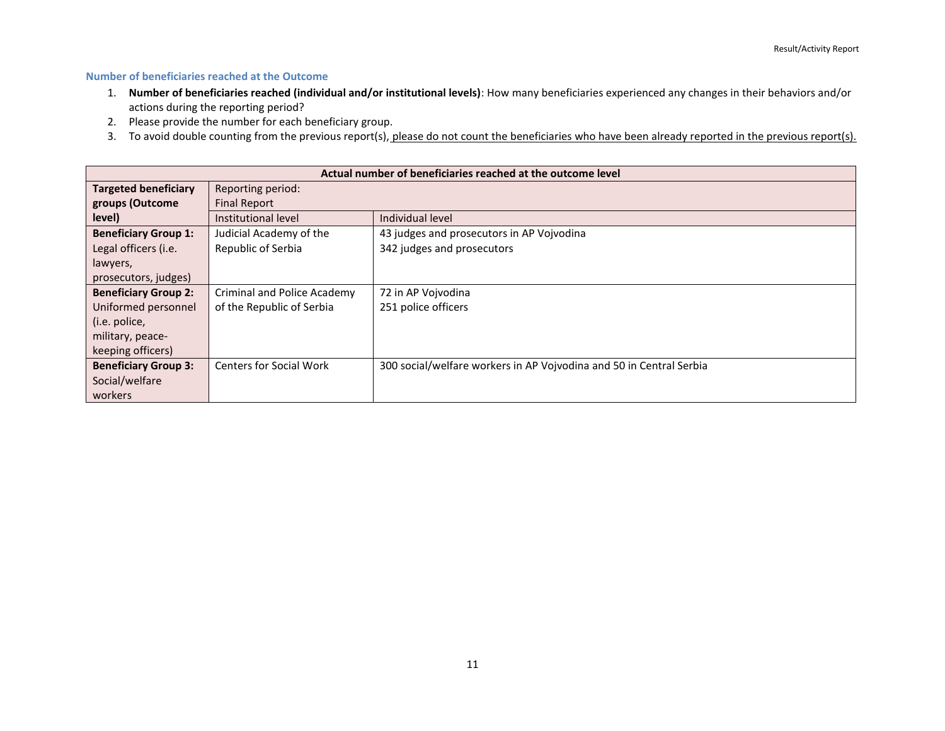### **Number of beneficiaries reached at the Outcome**

- 1. **Number of beneficiaries reached (individual and/or institutional levels)**: How many beneficiaries experienced any changes in their behaviors and/or actions during the reporting period?
- 2. Please provide the number for each beneficiary group.
- 3. To avoid double counting from the previous report(s), please do not count the beneficiaries who have been already reported in the previous report(s).

| Actual number of beneficiaries reached at the outcome level |                                    |                                                                     |
|-------------------------------------------------------------|------------------------------------|---------------------------------------------------------------------|
| <b>Targeted beneficiary</b>                                 | Reporting period:                  |                                                                     |
| groups (Outcome                                             | <b>Final Report</b>                |                                                                     |
| level)                                                      | Institutional level                | Individual level                                                    |
| <b>Beneficiary Group 1:</b>                                 | Judicial Academy of the            | 43 judges and prosecutors in AP Vojvodina                           |
| Legal officers (i.e.                                        | Republic of Serbia                 | 342 judges and prosecutors                                          |
| lawyers,                                                    |                                    |                                                                     |
| prosecutors, judges)                                        |                                    |                                                                     |
| <b>Beneficiary Group 2:</b>                                 | <b>Criminal and Police Academy</b> | 72 in AP Vojvodina                                                  |
| Uniformed personnel                                         | of the Republic of Serbia          | 251 police officers                                                 |
| (i.e. police,                                               |                                    |                                                                     |
| military, peace-                                            |                                    |                                                                     |
| keeping officers)                                           |                                    |                                                                     |
| <b>Beneficiary Group 3:</b>                                 | <b>Centers for Social Work</b>     | 300 social/welfare workers in AP Vojvodina and 50 in Central Serbia |
| Social/welfare                                              |                                    |                                                                     |
| workers                                                     |                                    |                                                                     |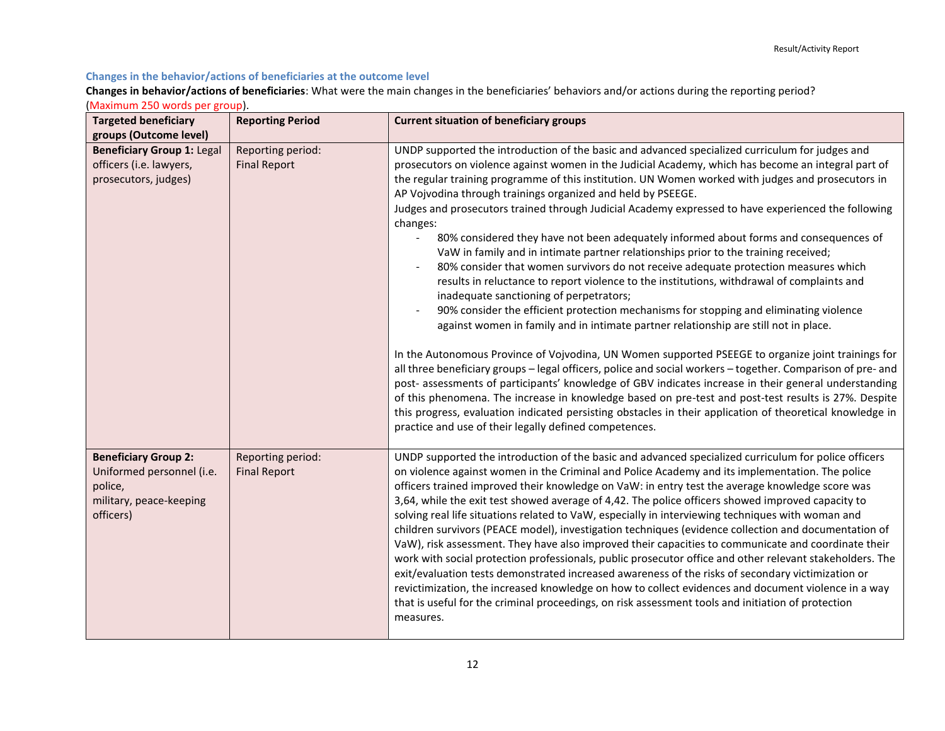### **Changes in the behavior/actions of beneficiaries at the outcome level**

**Changes in behavior/actions of beneficiaries**: What were the main changes in the beneficiaries' behaviors and/or actions during the reporting period? (Maximum 250 words per group).

| <b>Targeted beneficiary</b><br>groups (Outcome level)                                                       | <b>Reporting Period</b>                  | <b>Current situation of beneficiary groups</b>                                                                                                                                                                                                                                                                                                                                                                                                                                                                                                                                                                                                                                                                                                                                                                                                                                                                                                                                                                                                                                                                                                                                                                                                                                                                                                                                                                                                                                                                                                                                                                                                                                                                 |
|-------------------------------------------------------------------------------------------------------------|------------------------------------------|----------------------------------------------------------------------------------------------------------------------------------------------------------------------------------------------------------------------------------------------------------------------------------------------------------------------------------------------------------------------------------------------------------------------------------------------------------------------------------------------------------------------------------------------------------------------------------------------------------------------------------------------------------------------------------------------------------------------------------------------------------------------------------------------------------------------------------------------------------------------------------------------------------------------------------------------------------------------------------------------------------------------------------------------------------------------------------------------------------------------------------------------------------------------------------------------------------------------------------------------------------------------------------------------------------------------------------------------------------------------------------------------------------------------------------------------------------------------------------------------------------------------------------------------------------------------------------------------------------------------------------------------------------------------------------------------------------------|
| <b>Beneficiary Group 1: Legal</b><br>officers (i.e. lawyers,<br>prosecutors, judges)                        | Reporting period:<br><b>Final Report</b> | UNDP supported the introduction of the basic and advanced specialized curriculum for judges and<br>prosecutors on violence against women in the Judicial Academy, which has become an integral part of<br>the regular training programme of this institution. UN Women worked with judges and prosecutors in<br>AP Vojvodina through trainings organized and held by PSEEGE.<br>Judges and prosecutors trained through Judicial Academy expressed to have experienced the following<br>changes:<br>80% considered they have not been adequately informed about forms and consequences of<br>VaW in family and in intimate partner relationships prior to the training received;<br>80% consider that women survivors do not receive adequate protection measures which<br>results in reluctance to report violence to the institutions, withdrawal of complaints and<br>inadequate sanctioning of perpetrators;<br>90% consider the efficient protection mechanisms for stopping and eliminating violence<br>against women in family and in intimate partner relationship are still not in place.<br>In the Autonomous Province of Vojvodina, UN Women supported PSEEGE to organize joint trainings for<br>all three beneficiary groups - legal officers, police and social workers - together. Comparison of pre- and<br>post- assessments of participants' knowledge of GBV indicates increase in their general understanding<br>of this phenomena. The increase in knowledge based on pre-test and post-test results is 27%. Despite<br>this progress, evaluation indicated persisting obstacles in their application of theoretical knowledge in<br>practice and use of their legally defined competences. |
| <b>Beneficiary Group 2:</b><br>Uniformed personnel (i.e.<br>police,<br>military, peace-keeping<br>officers) | Reporting period:<br><b>Final Report</b> | UNDP supported the introduction of the basic and advanced specialized curriculum for police officers<br>on violence against women in the Criminal and Police Academy and its implementation. The police<br>officers trained improved their knowledge on VaW: in entry test the average knowledge score was<br>3,64, while the exit test showed average of 4,42. The police officers showed improved capacity to<br>solving real life situations related to VaW, especially in interviewing techniques with woman and<br>children survivors (PEACE model), investigation techniques (evidence collection and documentation of<br>VaW), risk assessment. They have also improved their capacities to communicate and coordinate their<br>work with social protection professionals, public prosecutor office and other relevant stakeholders. The<br>exit/evaluation tests demonstrated increased awareness of the risks of secondary victimization or<br>revictimization, the increased knowledge on how to collect evidences and document violence in a way<br>that is useful for the criminal proceedings, on risk assessment tools and initiation of protection<br>measures.                                                                                                                                                                                                                                                                                                                                                                                                                                                                                                                                 |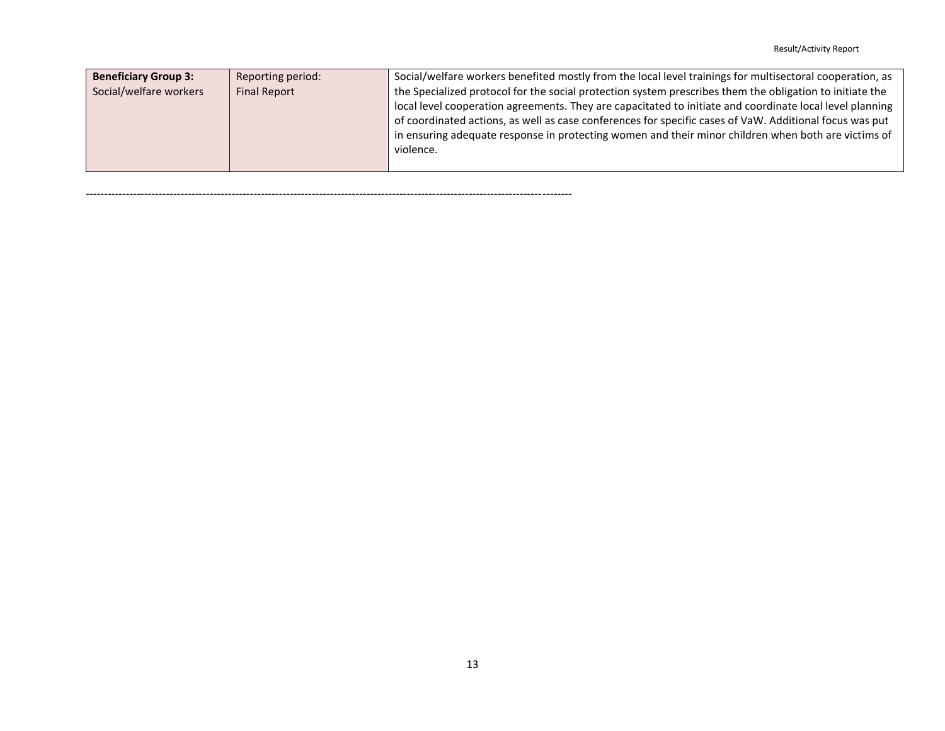| <b>Beneficiary Group 3:</b>                   | Reporting period: | Social/welfare workers benefited mostly from the local level trainings for multisectoral cooperation, as                                                                                                                                                                                                                                                                                                                               |
|-----------------------------------------------|-------------------|----------------------------------------------------------------------------------------------------------------------------------------------------------------------------------------------------------------------------------------------------------------------------------------------------------------------------------------------------------------------------------------------------------------------------------------|
| Social/welfare workers<br><b>Final Report</b> |                   | the Specialized protocol for the social protection system prescribes them the obligation to initiate the<br>local level cooperation agreements. They are capacitated to initiate and coordinate local level planning<br>of coordinated actions, as well as case conferences for specific cases of VaW. Additional focus was put<br>in ensuring adequate response in protecting women and their minor children when both are victims of |
|                                               |                   | violence.                                                                                                                                                                                                                                                                                                                                                                                                                              |

<span id="page-12-0"></span>-------------------------------------------------------------------------------------------------------------------------------------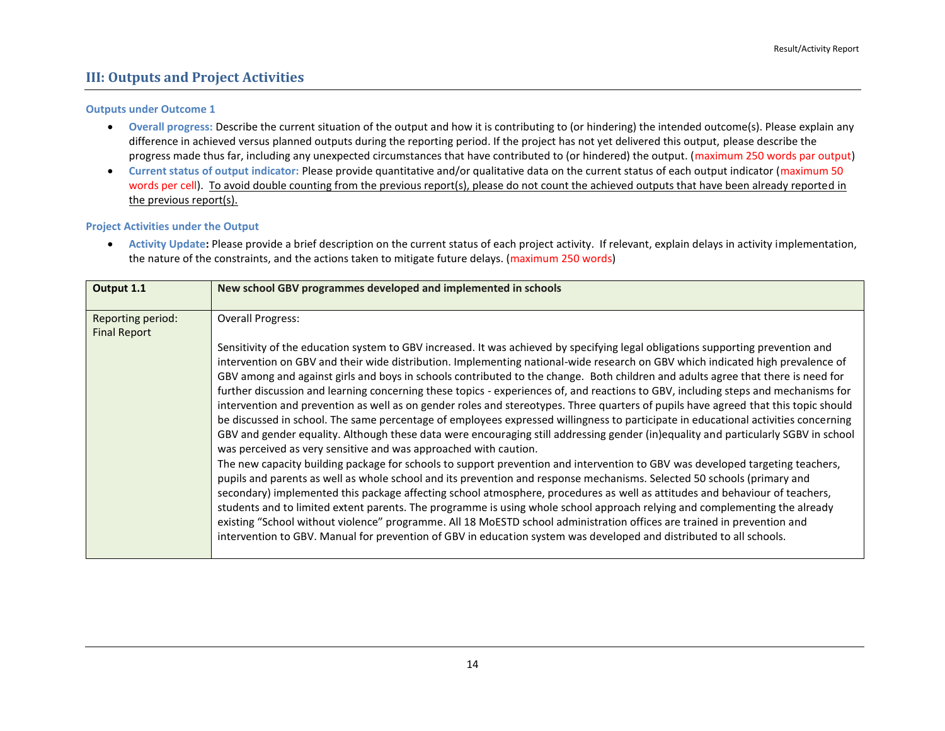### **III: Outputs and Project Activities**

#### **Outputs under Outcome 1**

- **Overall progress:** Describe the current situation of the output and how it is contributing to (or hindering) the intended outcome(s). Please explain any difference in achieved versus planned outputs during the reporting period. If the project has not yet delivered this output, please describe the progress made thus far, including any unexpected circumstances that have contributed to (or hindered) the output. (maximum 250 words par output)
- **Current status of output indicator:** Please provide quantitative and/or qualitative data on the current status of each output indicator (maximum 50 words per cell). To avoid double counting from the previous report(s), please do not count the achieved outputs that have been already reported in the previous report(s).

#### **Project Activities under the Output**

 **Activity Update:** Please provide a brief description on the current status of each project activity. If relevant, explain delays in activity implementation, the nature of the constraints, and the actions taken to mitigate future delays. (maximum 250 words)

| Output 1.1                               | New school GBV programmes developed and implemented in schools                                                                                                                                                                                                                                                                                                                                                                                                                                                                                                                                                                                                                                                                                                                                                                                                                                                                                                                                                                                                                                                                                                                                                                                                                                                                                                                                                                                                                                                                                                                                                                                                                                                                                                                                                                            |
|------------------------------------------|-------------------------------------------------------------------------------------------------------------------------------------------------------------------------------------------------------------------------------------------------------------------------------------------------------------------------------------------------------------------------------------------------------------------------------------------------------------------------------------------------------------------------------------------------------------------------------------------------------------------------------------------------------------------------------------------------------------------------------------------------------------------------------------------------------------------------------------------------------------------------------------------------------------------------------------------------------------------------------------------------------------------------------------------------------------------------------------------------------------------------------------------------------------------------------------------------------------------------------------------------------------------------------------------------------------------------------------------------------------------------------------------------------------------------------------------------------------------------------------------------------------------------------------------------------------------------------------------------------------------------------------------------------------------------------------------------------------------------------------------------------------------------------------------------------------------------------------------|
| Reporting period:<br><b>Final Report</b> | <b>Overall Progress:</b><br>Sensitivity of the education system to GBV increased. It was achieved by specifying legal obligations supporting prevention and<br>intervention on GBV and their wide distribution. Implementing national-wide research on GBV which indicated high prevalence of<br>GBV among and against girls and boys in schools contributed to the change. Both children and adults agree that there is need for<br>further discussion and learning concerning these topics - experiences of, and reactions to GBV, including steps and mechanisms for<br>intervention and prevention as well as on gender roles and stereotypes. Three quarters of pupils have agreed that this topic should<br>be discussed in school. The same percentage of employees expressed willingness to participate in educational activities concerning<br>GBV and gender equality. Although these data were encouraging still addressing gender (in)equality and particularly SGBV in school<br>was perceived as very sensitive and was approached with caution.<br>The new capacity building package for schools to support prevention and intervention to GBV was developed targeting teachers,<br>pupils and parents as well as whole school and its prevention and response mechanisms. Selected 50 schools (primary and<br>secondary) implemented this package affecting school atmosphere, procedures as well as attitudes and behaviour of teachers,<br>students and to limited extent parents. The programme is using whole school approach relying and complementing the already<br>existing "School without violence" programme. All 18 MoESTD school administration offices are trained in prevention and<br>intervention to GBV. Manual for prevention of GBV in education system was developed and distributed to all schools. |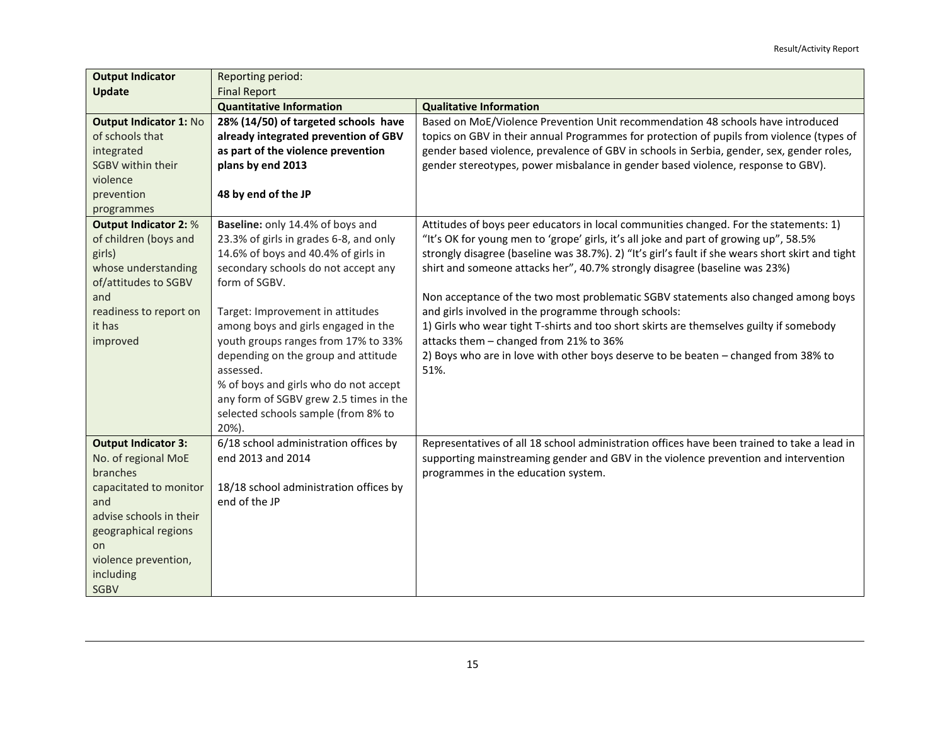| <b>Output Indicator</b>       | Reporting period:<br><b>Final Report</b> |                                                                                                  |
|-------------------------------|------------------------------------------|--------------------------------------------------------------------------------------------------|
| Update                        |                                          |                                                                                                  |
|                               | <b>Quantitative Information</b>          | <b>Qualitative Information</b>                                                                   |
| <b>Output Indicator 1: No</b> | 28% (14/50) of targeted schools have     | Based on MoE/Violence Prevention Unit recommendation 48 schools have introduced                  |
| of schools that               | already integrated prevention of GBV     | topics on GBV in their annual Programmes for protection of pupils from violence (types of        |
| integrated                    | as part of the violence prevention       | gender based violence, prevalence of GBV in schools in Serbia, gender, sex, gender roles,        |
| SGBV within their             | plans by end 2013                        | gender stereotypes, power misbalance in gender based violence, response to GBV).                 |
| violence                      |                                          |                                                                                                  |
| prevention                    | 48 by end of the JP                      |                                                                                                  |
| programmes                    |                                          |                                                                                                  |
| <b>Output Indicator 2: %</b>  | Baseline: only 14.4% of boys and         | Attitudes of boys peer educators in local communities changed. For the statements: 1)            |
| of children (boys and         | 23.3% of girls in grades 6-8, and only   | "It's OK for young men to 'grope' girls, it's all joke and part of growing up", 58.5%            |
| girls)                        | 14.6% of boys and 40.4% of girls in      | strongly disagree (baseline was 38.7%). 2) "It's girl's fault if she wears short skirt and tight |
| whose understanding           | secondary schools do not accept any      | shirt and someone attacks her", 40.7% strongly disagree (baseline was 23%)                       |
| of/attitudes to SGBV          | form of SGBV.                            |                                                                                                  |
| and                           |                                          | Non acceptance of the two most problematic SGBV statements also changed among boys               |
| readiness to report on        | Target: Improvement in attitudes         | and girls involved in the programme through schools:                                             |
| it has                        | among boys and girls engaged in the      | 1) Girls who wear tight T-shirts and too short skirts are themselves guilty if somebody          |
| improved                      | youth groups ranges from 17% to 33%      | attacks them - changed from 21% to 36%                                                           |
|                               | depending on the group and attitude      | 2) Boys who are in love with other boys deserve to be beaten - changed from 38% to               |
|                               | assessed.                                | 51%.                                                                                             |
|                               | % of boys and girls who do not accept    |                                                                                                  |
|                               | any form of SGBV grew 2.5 times in the   |                                                                                                  |
|                               | selected schools sample (from 8% to      |                                                                                                  |
|                               | 20%).                                    |                                                                                                  |
| <b>Output Indicator 3:</b>    | 6/18 school administration offices by    | Representatives of all 18 school administration offices have been trained to take a lead in      |
| No. of regional MoE           | end 2013 and 2014                        | supporting mainstreaming gender and GBV in the violence prevention and intervention              |
| branches                      |                                          | programmes in the education system.                                                              |
| capacitated to monitor        | 18/18 school administration offices by   |                                                                                                  |
| and                           | end of the JP                            |                                                                                                  |
| advise schools in their       |                                          |                                                                                                  |
| geographical regions          |                                          |                                                                                                  |
| <b>on</b>                     |                                          |                                                                                                  |
| violence prevention,          |                                          |                                                                                                  |
| including                     |                                          |                                                                                                  |
| <b>SGBV</b>                   |                                          |                                                                                                  |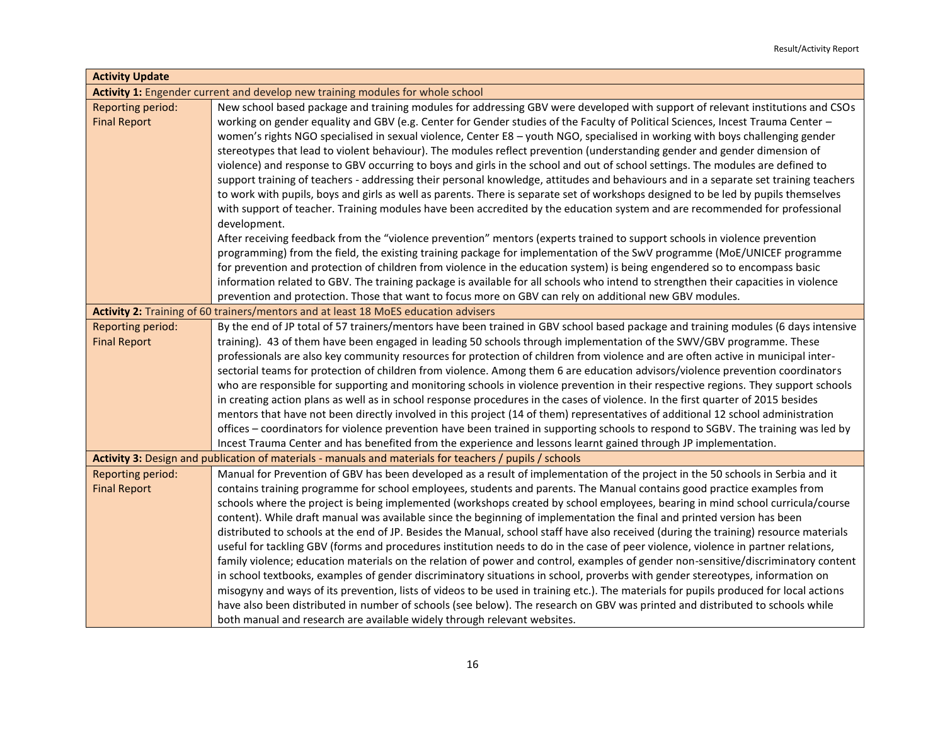| <b>Activity Update</b>   |                                                                                                                                        |
|--------------------------|----------------------------------------------------------------------------------------------------------------------------------------|
|                          | Activity 1: Engender current and develop new training modules for whole school                                                         |
| Reporting period:        | New school based package and training modules for addressing GBV were developed with support of relevant institutions and CSOs         |
| <b>Final Report</b>      | working on gender equality and GBV (e.g. Center for Gender studies of the Faculty of Political Sciences, Incest Trauma Center -        |
|                          | women's rights NGO specialised in sexual violence, Center E8 - youth NGO, specialised in working with boys challenging gender          |
|                          | stereotypes that lead to violent behaviour). The modules reflect prevention (understanding gender and gender dimension of              |
|                          | violence) and response to GBV occurring to boys and girls in the school and out of school settings. The modules are defined to         |
|                          | support training of teachers - addressing their personal knowledge, attitudes and behaviours and in a separate set training teachers   |
|                          | to work with pupils, boys and girls as well as parents. There is separate set of workshops designed to be led by pupils themselves     |
|                          | with support of teacher. Training modules have been accredited by the education system and are recommended for professional            |
|                          | development.                                                                                                                           |
|                          | After receiving feedback from the "violence prevention" mentors (experts trained to support schools in violence prevention             |
|                          | programming) from the field, the existing training package for implementation of the SwV programme (MoE/UNICEF programme               |
|                          | for prevention and protection of children from violence in the education system) is being engendered so to encompass basic             |
|                          | information related to GBV. The training package is available for all schools who intend to strengthen their capacities in violence    |
|                          | prevention and protection. Those that want to focus more on GBV can rely on additional new GBV modules.                                |
|                          | Activity 2: Training of 60 trainers/mentors and at least 18 MoES education advisers                                                    |
| <b>Reporting period:</b> | By the end of JP total of 57 trainers/mentors have been trained in GBV school based package and training modules (6 days intensive     |
| <b>Final Report</b>      | training). 43 of them have been engaged in leading 50 schools through implementation of the SWV/GBV programme. These                   |
|                          | professionals are also key community resources for protection of children from violence and are often active in municipal inter-       |
|                          | sectorial teams for protection of children from violence. Among them 6 are education advisors/violence prevention coordinators         |
|                          | who are responsible for supporting and monitoring schools in violence prevention in their respective regions. They support schools     |
|                          | in creating action plans as well as in school response procedures in the cases of violence. In the first quarter of 2015 besides       |
|                          | mentors that have not been directly involved in this project (14 of them) representatives of additional 12 school administration       |
|                          | offices - coordinators for violence prevention have been trained in supporting schools to respond to SGBV. The training was led by     |
|                          | Incest Trauma Center and has benefited from the experience and lessons learnt gained through JP implementation.                        |
|                          | Activity 3: Design and publication of materials - manuals and materials for teachers / pupils / schools                                |
| Reporting period:        | Manual for Prevention of GBV has been developed as a result of implementation of the project in the 50 schools in Serbia and it        |
| <b>Final Report</b>      | contains training programme for school employees, students and parents. The Manual contains good practice examples from                |
|                          | schools where the project is being implemented (workshops created by school employees, bearing in mind school curricula/course         |
|                          | content). While draft manual was available since the beginning of implementation the final and printed version has been                |
|                          | distributed to schools at the end of JP. Besides the Manual, school staff have also received (during the training) resource materials  |
|                          | useful for tackling GBV (forms and procedures institution needs to do in the case of peer violence, violence in partner relations,     |
|                          | family violence; education materials on the relation of power and control, examples of gender non-sensitive/discriminatory content     |
|                          | in school textbooks, examples of gender discriminatory situations in school, proverbs with gender stereotypes, information on          |
|                          | misogyny and ways of its prevention, lists of videos to be used in training etc.). The materials for pupils produced for local actions |
|                          | have also been distributed in number of schools (see below). The research on GBV was printed and distributed to schools while          |
|                          | both manual and research are available widely through relevant websites.                                                               |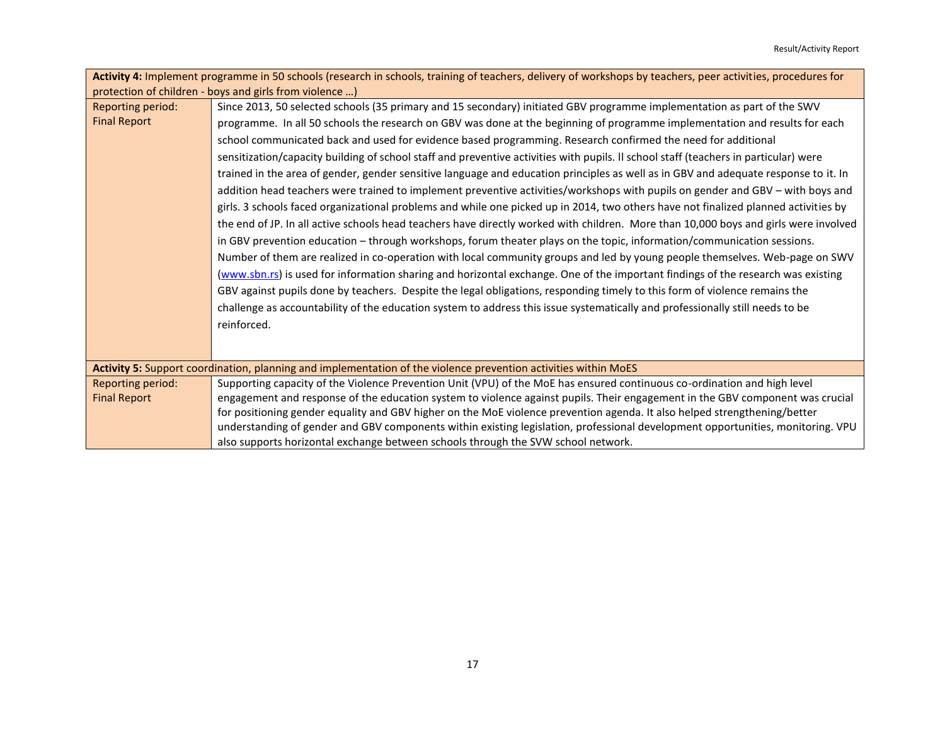|                     | Activity 4: Implement programme in 50 schools (research in schools, training of teachers, delivery of workshops by teachers, peer activities, procedures for |
|---------------------|--------------------------------------------------------------------------------------------------------------------------------------------------------------|
|                     | protection of children - boys and girls from violence )                                                                                                      |
| Reporting period:   | Since 2013, 50 selected schools (35 primary and 15 secondary) initiated GBV programme implementation as part of the SWV                                      |
| <b>Final Report</b> | programme. In all 50 schools the research on GBV was done at the beginning of programme implementation and results for each                                  |
|                     | school communicated back and used for evidence based programming. Research confirmed the need for additional                                                 |
|                     | sensitization/capacity building of school staff and preventive activities with pupils. Il school staff (teachers in particular) were                         |
|                     | trained in the area of gender, gender sensitive language and education principles as well as in GBV and adequate response to it. In                          |
|                     | addition head teachers were trained to implement preventive activities/workshops with pupils on gender and GBV - with boys and                               |
|                     | girls. 3 schools faced organizational problems and while one picked up in 2014, two others have not finalized planned activities by                          |
|                     | the end of JP. In all active schools head teachers have directly worked with children. More than 10,000 boys and girls were involved                         |
|                     | in GBV prevention education - through workshops, forum theater plays on the topic, information/communication sessions.                                       |
|                     | Number of them are realized in co-operation with local community groups and led by young people themselves. Web-page on SWV                                  |
|                     | (www.sbn.rs) is used for information sharing and horizontal exchange. One of the important findings of the research was existing                             |
|                     | GBV against pupils done by teachers. Despite the legal obligations, responding timely to this form of violence remains the                                   |
|                     | challenge as accountability of the education system to address this issue systematically and professionally still needs to be                                |
|                     | reinforced.                                                                                                                                                  |
|                     |                                                                                                                                                              |
|                     |                                                                                                                                                              |
|                     | Activity 5: Support coordination, planning and implementation of the violence prevention activities within MoES                                              |
| Reporting period:   | Supporting capacity of the Violence Prevention Unit (VPU) of the MoE has ensured continuous co-ordination and high level                                     |
| <b>Final Report</b> | engagement and response of the education system to violence against pupils. Their engagement in the GBV component was crucial                                |
|                     | for positioning gender equality and GBV higher on the MoE violence prevention agenda. It also helped strengthening/better                                    |
|                     | understanding of gender and GBV components within existing legislation, professional development opportunities, monitoring. VPU                              |
|                     | also supports horizontal exchange between schools through the SVW school network.                                                                            |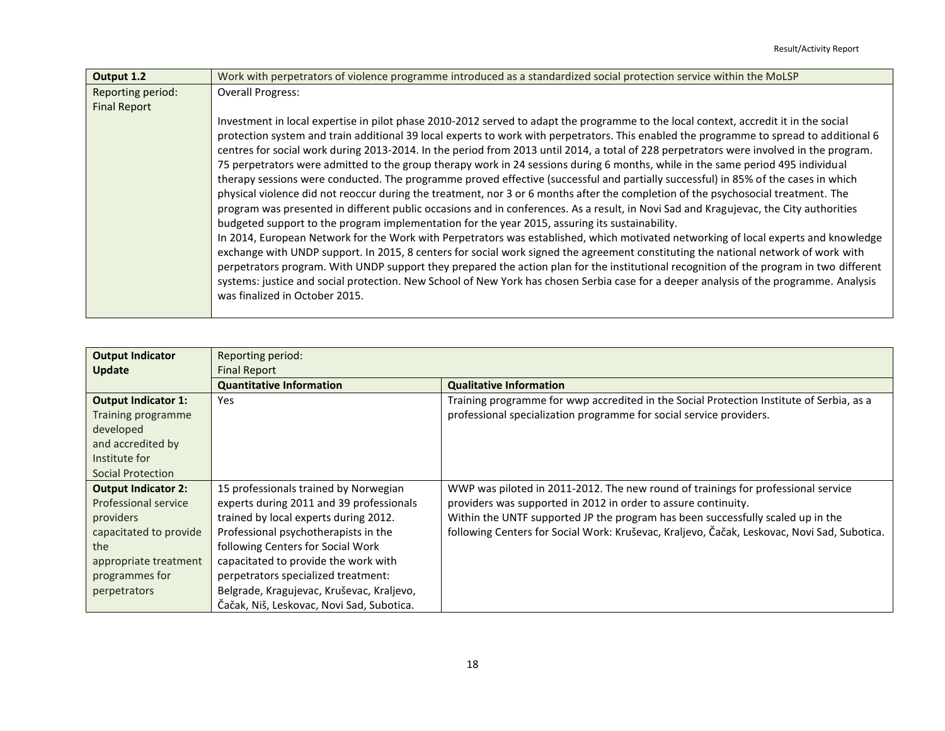| Output 1.2          | Work with perpetrators of violence programme introduced as a standardized social protection service within the MoLSP                                                                                                                                                                                                                                                                                                                                                                                                                                                                             |
|---------------------|--------------------------------------------------------------------------------------------------------------------------------------------------------------------------------------------------------------------------------------------------------------------------------------------------------------------------------------------------------------------------------------------------------------------------------------------------------------------------------------------------------------------------------------------------------------------------------------------------|
| Reporting period:   | <b>Overall Progress:</b>                                                                                                                                                                                                                                                                                                                                                                                                                                                                                                                                                                         |
| <b>Final Report</b> |                                                                                                                                                                                                                                                                                                                                                                                                                                                                                                                                                                                                  |
|                     | Investment in local expertise in pilot phase 2010-2012 served to adapt the programme to the local context, accredit it in the social                                                                                                                                                                                                                                                                                                                                                                                                                                                             |
|                     | protection system and train additional 39 local experts to work with perpetrators. This enabled the programme to spread to additional 6<br>centres for social work during 2013-2014. In the period from 2013 until 2014, a total of 228 perpetrators were involved in the program.                                                                                                                                                                                                                                                                                                               |
|                     | 75 perpetrators were admitted to the group therapy work in 24 sessions during 6 months, while in the same period 495 individual                                                                                                                                                                                                                                                                                                                                                                                                                                                                  |
|                     | therapy sessions were conducted. The programme proved effective (successful and partially successful) in 85% of the cases in which                                                                                                                                                                                                                                                                                                                                                                                                                                                               |
|                     | physical violence did not reoccur during the treatment, nor 3 or 6 months after the completion of the psychosocial treatment. The                                                                                                                                                                                                                                                                                                                                                                                                                                                                |
|                     | program was presented in different public occasions and in conferences. As a result, in Novi Sad and Kragujevac, the City authorities                                                                                                                                                                                                                                                                                                                                                                                                                                                            |
|                     | budgeted support to the program implementation for the year 2015, assuring its sustainability.                                                                                                                                                                                                                                                                                                                                                                                                                                                                                                   |
|                     | In 2014, European Network for the Work with Perpetrators was established, which motivated networking of local experts and knowledge<br>exchange with UNDP support. In 2015, 8 centers for social work signed the agreement constituting the national network of work with<br>perpetrators program. With UNDP support they prepared the action plan for the institutional recognition of the program in two different<br>systems: justice and social protection. New School of New York has chosen Serbia case for a deeper analysis of the programme. Analysis<br>was finalized in October 2015. |
|                     |                                                                                                                                                                                                                                                                                                                                                                                                                                                                                                                                                                                                  |

| <b>Output Indicator</b>    | Reporting period:                         |                                                                                             |  |
|----------------------------|-------------------------------------------|---------------------------------------------------------------------------------------------|--|
| Update                     | <b>Final Report</b>                       |                                                                                             |  |
|                            | <b>Quantitative Information</b>           | <b>Qualitative Information</b>                                                              |  |
| <b>Output Indicator 1:</b> | Yes                                       | Training programme for wwp accredited in the Social Protection Institute of Serbia, as a    |  |
| Training programme         |                                           | professional specialization programme for social service providers.                         |  |
| developed                  |                                           |                                                                                             |  |
| and accredited by          |                                           |                                                                                             |  |
| Institute for              |                                           |                                                                                             |  |
| Social Protection          |                                           |                                                                                             |  |
| <b>Output Indicator 2:</b> | 15 professionals trained by Norwegian     | WWP was piloted in 2011-2012. The new round of trainings for professional service           |  |
| Professional service       | experts during 2011 and 39 professionals  | providers was supported in 2012 in order to assure continuity.                              |  |
| providers                  | trained by local experts during 2012.     | Within the UNTF supported JP the program has been successfully scaled up in the             |  |
| capacitated to provide     | Professional psychotherapists in the      | following Centers for Social Work: Kruševac, Kraljevo, Čačak, Leskovac, Novi Sad, Subotica. |  |
| the                        | following Centers for Social Work         |                                                                                             |  |
| appropriate treatment      | capacitated to provide the work with      |                                                                                             |  |
| programmes for             | perpetrators specialized treatment:       |                                                                                             |  |
| perpetrators               | Belgrade, Kragujevac, Kruševac, Kraljevo, |                                                                                             |  |
|                            | Čačak, Niš, Leskovac, Novi Sad, Subotica. |                                                                                             |  |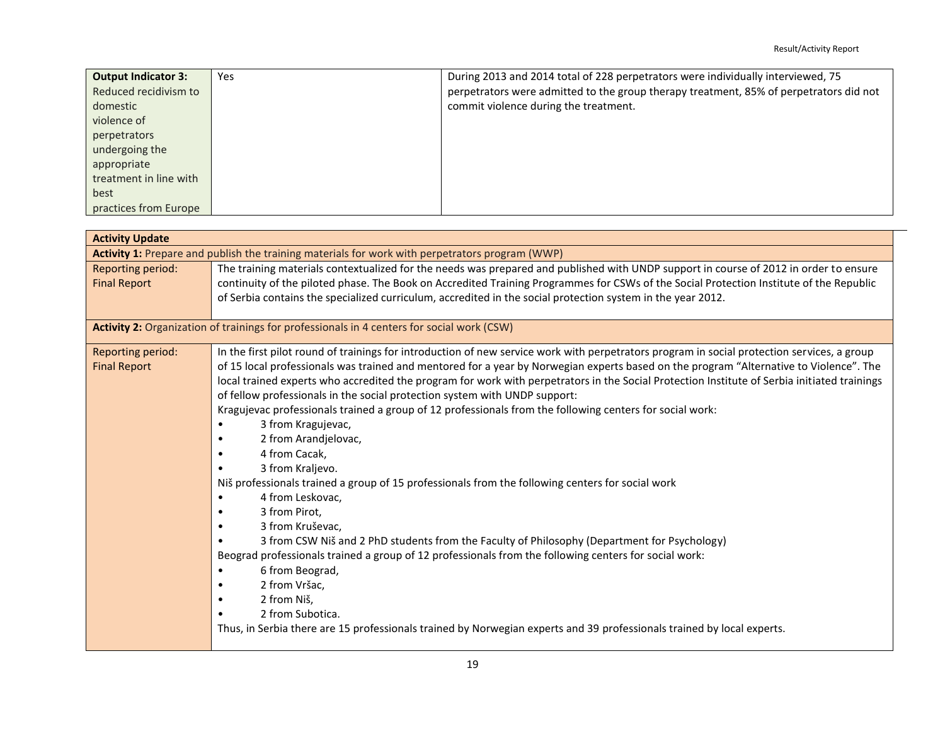| <b>Output Indicator 3:</b> | Yes | During 2013 and 2014 total of 228 perpetrators were individually interviewed, 75       |
|----------------------------|-----|----------------------------------------------------------------------------------------|
| Reduced recidivism to      |     | perpetrators were admitted to the group therapy treatment, 85% of perpetrators did not |
| domestic                   |     | commit violence during the treatment.                                                  |
| violence of                |     |                                                                                        |
| perpetrators               |     |                                                                                        |
| undergoing the             |     |                                                                                        |
| appropriate                |     |                                                                                        |
| treatment in line with     |     |                                                                                        |
| best                       |     |                                                                                        |
| practices from Europe      |     |                                                                                        |

| <b>Activity Update</b> |                                                                                                                                              |
|------------------------|----------------------------------------------------------------------------------------------------------------------------------------------|
|                        | Activity 1: Prepare and publish the training materials for work with perpetrators program (WWP)                                              |
| Reporting period:      | The training materials contextualized for the needs was prepared and published with UNDP support in course of 2012 in order to ensure        |
| <b>Final Report</b>    | continuity of the piloted phase. The Book on Accredited Training Programmes for CSWs of the Social Protection Institute of the Republic      |
|                        | of Serbia contains the specialized curriculum, accredited in the social protection system in the year 2012.                                  |
|                        |                                                                                                                                              |
|                        | Activity 2: Organization of trainings for professionals in 4 centers for social work (CSW)                                                   |
| Reporting period:      | In the first pilot round of trainings for introduction of new service work with perpetrators program in social protection services, a group  |
| <b>Final Report</b>    | of 15 local professionals was trained and mentored for a year by Norwegian experts based on the program "Alternative to Violence". The       |
|                        | local trained experts who accredited the program for work with perpetrators in the Social Protection Institute of Serbia initiated trainings |
|                        | of fellow professionals in the social protection system with UNDP support:                                                                   |
|                        | Kragujevac professionals trained a group of 12 professionals from the following centers for social work:                                     |
|                        | 3 from Kragujevac,                                                                                                                           |
|                        | 2 from Arandjelovac,                                                                                                                         |
|                        | 4 from Cacak,                                                                                                                                |
|                        | 3 from Kraljevo.                                                                                                                             |
|                        | Niš professionals trained a group of 15 professionals from the following centers for social work                                             |
|                        | 4 from Leskovac,                                                                                                                             |
|                        | 3 from Pirot,                                                                                                                                |
|                        | 3 from Kruševac,                                                                                                                             |
|                        | 3 from CSW Niš and 2 PhD students from the Faculty of Philosophy (Department for Psychology)                                                 |
|                        | Beograd professionals trained a group of 12 professionals from the following centers for social work:                                        |
|                        | 6 from Beograd,                                                                                                                              |
|                        | 2 from Vršac,                                                                                                                                |
|                        | 2 from Niš,                                                                                                                                  |
|                        | 2 from Subotica.                                                                                                                             |
|                        | Thus, in Serbia there are 15 professionals trained by Norwegian experts and 39 professionals trained by local experts.                       |
|                        |                                                                                                                                              |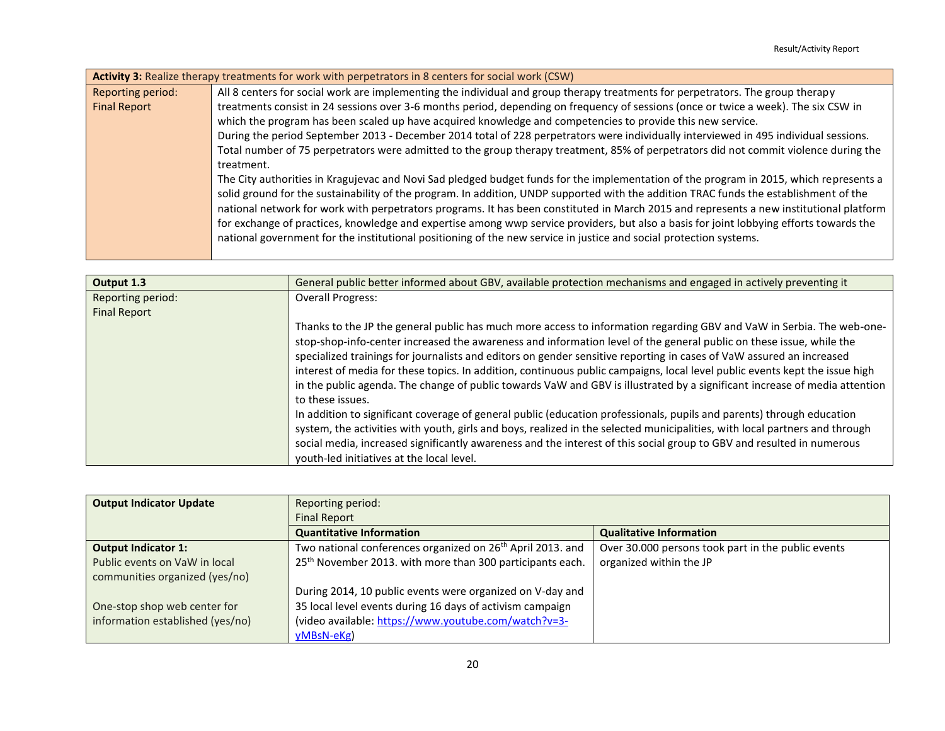| Activity 3: Realize therapy treatments for work with perpetrators in 8 centers for social work (CSW) |                                                                                                                                         |  |  |
|------------------------------------------------------------------------------------------------------|-----------------------------------------------------------------------------------------------------------------------------------------|--|--|
| Reporting period:                                                                                    | All 8 centers for social work are implementing the individual and group therapy treatments for perpetrators. The group therapy          |  |  |
| <b>Final Report</b>                                                                                  | treatments consist in 24 sessions over 3-6 months period, depending on frequency of sessions (once or twice a week). The six CSW in     |  |  |
|                                                                                                      | which the program has been scaled up have acquired knowledge and competencies to provide this new service.                              |  |  |
|                                                                                                      | During the period September 2013 - December 2014 total of 228 perpetrators were individually interviewed in 495 individual sessions.    |  |  |
|                                                                                                      | Total number of 75 perpetrators were admitted to the group therapy treatment, 85% of perpetrators did not commit violence during the    |  |  |
|                                                                                                      | treatment.                                                                                                                              |  |  |
|                                                                                                      | The City authorities in Kragujevac and Novi Sad pledged budget funds for the implementation of the program in 2015, which represents a  |  |  |
|                                                                                                      | solid ground for the sustainability of the program. In addition, UNDP supported with the addition TRAC funds the establishment of the   |  |  |
|                                                                                                      | national network for work with perpetrators programs. It has been constituted in March 2015 and represents a new institutional platform |  |  |
|                                                                                                      | for exchange of practices, knowledge and expertise among wwp service providers, but also a basis for joint lobbying efforts towards the |  |  |
|                                                                                                      | national government for the institutional positioning of the new service in justice and social protection systems.                      |  |  |
|                                                                                                      |                                                                                                                                         |  |  |

| Output 1.3          | General public better informed about GBV, available protection mechanisms and engaged in actively preventing it                                                                                                                                                                                                                                                                                                                                                                                                                                                                                                                                                                                                                                                                |  |
|---------------------|--------------------------------------------------------------------------------------------------------------------------------------------------------------------------------------------------------------------------------------------------------------------------------------------------------------------------------------------------------------------------------------------------------------------------------------------------------------------------------------------------------------------------------------------------------------------------------------------------------------------------------------------------------------------------------------------------------------------------------------------------------------------------------|--|
| Reporting period:   | <b>Overall Progress:</b>                                                                                                                                                                                                                                                                                                                                                                                                                                                                                                                                                                                                                                                                                                                                                       |  |
| <b>Final Report</b> |                                                                                                                                                                                                                                                                                                                                                                                                                                                                                                                                                                                                                                                                                                                                                                                |  |
|                     | Thanks to the JP the general public has much more access to information regarding GBV and VaW in Serbia. The web-one-<br>stop-shop-info-center increased the awareness and information level of the general public on these issue, while the<br>specialized trainings for journalists and editors on gender sensitive reporting in cases of VaW assured an increased<br>interest of media for these topics. In addition, continuous public campaigns, local level public events kept the issue high<br>in the public agenda. The change of public towards VaW and GBV is illustrated by a significant increase of media attention<br>to these issues.<br>In addition to significant coverage of general public (education professionals, pupils and parents) through education |  |
|                     | system, the activities with youth, girls and boys, realized in the selected municipalities, with local partners and through                                                                                                                                                                                                                                                                                                                                                                                                                                                                                                                                                                                                                                                    |  |
|                     | social media, increased significantly awareness and the interest of this social group to GBV and resulted in numerous                                                                                                                                                                                                                                                                                                                                                                                                                                                                                                                                                                                                                                                          |  |
|                     | youth-led initiatives at the local level.                                                                                                                                                                                                                                                                                                                                                                                                                                                                                                                                                                                                                                                                                                                                      |  |

| <b>Output Indicator Update</b>                                  | Reporting period:                                                      |                                                    |
|-----------------------------------------------------------------|------------------------------------------------------------------------|----------------------------------------------------|
|                                                                 | <b>Final Report</b>                                                    |                                                    |
|                                                                 | <b>Quantitative Information</b>                                        | <b>Qualitative Information</b>                     |
| <b>Output Indicator 1:</b>                                      | Two national conferences organized on 26 <sup>th</sup> April 2013. and | Over 30.000 persons took part in the public events |
| Public events on VaW in local<br>communities organized (yes/no) | 25 <sup>th</sup> November 2013. with more than 300 participants each.  | organized within the JP                            |
|                                                                 | During 2014, 10 public events were organized on V-day and              |                                                    |
| One-stop shop web center for                                    | 35 local level events during 16 days of activism campaign              |                                                    |
| information established (yes/no)                                | (video available: https://www.youtube.com/watch?v=3-                   |                                                    |
|                                                                 | yMBsN-eKg)                                                             |                                                    |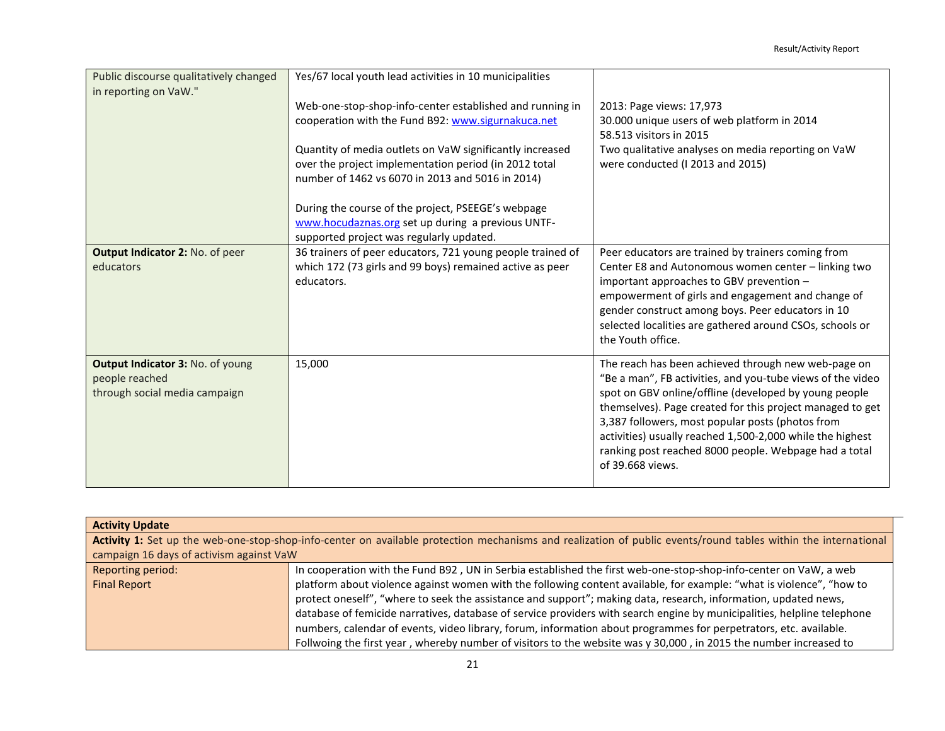| Public discourse qualitatively changed<br>in reporting on VaW."                     | Yes/67 local youth lead activities in 10 municipalities                                                                                                               |                                                                                                                                                                                                                                                                                                                                                                                                                                       |
|-------------------------------------------------------------------------------------|-----------------------------------------------------------------------------------------------------------------------------------------------------------------------|---------------------------------------------------------------------------------------------------------------------------------------------------------------------------------------------------------------------------------------------------------------------------------------------------------------------------------------------------------------------------------------------------------------------------------------|
|                                                                                     | Web-one-stop-shop-info-center established and running in<br>cooperation with the Fund B92: www.sigurnakuca.net                                                        | 2013: Page views: 17,973<br>30.000 unique users of web platform in 2014<br>58.513 visitors in 2015                                                                                                                                                                                                                                                                                                                                    |
|                                                                                     | Quantity of media outlets on VaW significantly increased<br>over the project implementation period (in 2012 total<br>number of 1462 vs 6070 in 2013 and 5016 in 2014) | Two qualitative analyses on media reporting on VaW<br>were conducted (I 2013 and 2015)                                                                                                                                                                                                                                                                                                                                                |
|                                                                                     | During the course of the project, PSEEGE's webpage<br>www.hocudaznas.org set up during a previous UNTF-<br>supported project was regularly updated.                   |                                                                                                                                                                                                                                                                                                                                                                                                                                       |
| Output Indicator 2: No. of peer<br>educators                                        | 36 trainers of peer educators, 721 young people trained of<br>which 172 (73 girls and 99 boys) remained active as peer<br>educators.                                  | Peer educators are trained by trainers coming from<br>Center E8 and Autonomous women center - linking two<br>important approaches to GBV prevention -<br>empowerment of girls and engagement and change of<br>gender construct among boys. Peer educators in 10<br>selected localities are gathered around CSOs, schools or<br>the Youth office.                                                                                      |
| Output Indicator 3: No. of young<br>people reached<br>through social media campaign | 15,000                                                                                                                                                                | The reach has been achieved through new web-page on<br>"Be a man", FB activities, and you-tube views of the video<br>spot on GBV online/offline (developed by young people<br>themselves). Page created for this project managed to get<br>3,387 followers, most popular posts (photos from<br>activities) usually reached 1,500-2,000 while the highest<br>ranking post reached 8000 people. Webpage had a total<br>of 39,668 views. |

| <b>Activity Update</b>                                                                                                                                         |                                                                                                                         |  |  |
|----------------------------------------------------------------------------------------------------------------------------------------------------------------|-------------------------------------------------------------------------------------------------------------------------|--|--|
| Activity 1: Set up the web-one-stop-shop-info-center on available protection mechanisms and realization of public events/round tables within the international |                                                                                                                         |  |  |
| campaign 16 days of activism against VaW                                                                                                                       |                                                                                                                         |  |  |
| Reporting period:                                                                                                                                              | In cooperation with the Fund B92, UN in Serbia established the first web-one-stop-shop-info-center on VaW, a web        |  |  |
| <b>Final Report</b>                                                                                                                                            | platform about violence against women with the following content available, for example: "what is violence", "how to    |  |  |
|                                                                                                                                                                | protect oneself", "where to seek the assistance and support"; making data, research, information, updated news,         |  |  |
|                                                                                                                                                                | database of femicide narratives, database of service providers with search engine by municipalities, helpline telephone |  |  |
|                                                                                                                                                                | numbers, calendar of events, video library, forum, information about programmes for perpetrators, etc. available.       |  |  |
|                                                                                                                                                                | Follwoing the first year, whereby number of visitors to the website was y 30,000, in 2015 the number increased to       |  |  |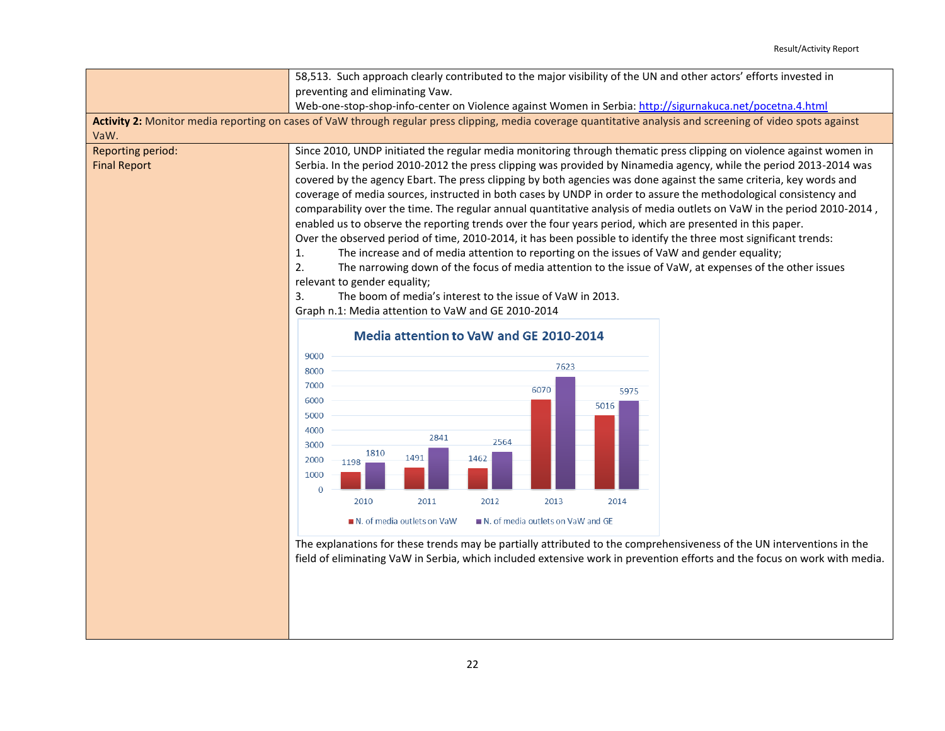|                                                 | 58,513. Such approach clearly contributed to the major visibility of the UN and other actors' efforts invested in                                                                                                                                                                                                                                                                                                                                                                                                                                                                                                                                                                                                                                                                                                                                                                                                                                                                                                                                                      |  |  |
|-------------------------------------------------|------------------------------------------------------------------------------------------------------------------------------------------------------------------------------------------------------------------------------------------------------------------------------------------------------------------------------------------------------------------------------------------------------------------------------------------------------------------------------------------------------------------------------------------------------------------------------------------------------------------------------------------------------------------------------------------------------------------------------------------------------------------------------------------------------------------------------------------------------------------------------------------------------------------------------------------------------------------------------------------------------------------------------------------------------------------------|--|--|
|                                                 | preventing and eliminating Vaw.                                                                                                                                                                                                                                                                                                                                                                                                                                                                                                                                                                                                                                                                                                                                                                                                                                                                                                                                                                                                                                        |  |  |
|                                                 | Web-one-stop-shop-info-center on Violence against Women in Serbia: http://sigurnakuca.net/pocetna.4.html                                                                                                                                                                                                                                                                                                                                                                                                                                                                                                                                                                                                                                                                                                                                                                                                                                                                                                                                                               |  |  |
|                                                 | Activity 2: Monitor media reporting on cases of VaW through regular press clipping, media coverage quantitative analysis and screening of video spots against                                                                                                                                                                                                                                                                                                                                                                                                                                                                                                                                                                                                                                                                                                                                                                                                                                                                                                          |  |  |
| VaW.                                            |                                                                                                                                                                                                                                                                                                                                                                                                                                                                                                                                                                                                                                                                                                                                                                                                                                                                                                                                                                                                                                                                        |  |  |
| <b>Reporting period:</b><br><b>Final Report</b> | Since 2010, UNDP initiated the regular media monitoring through thematic press clipping on violence against women in<br>Serbia. In the period 2010-2012 the press clipping was provided by Ninamedia agency, while the period 2013-2014 was<br>covered by the agency Ebart. The press clipping by both agencies was done against the same criteria, key words and<br>coverage of media sources, instructed in both cases by UNDP in order to assure the methodological consistency and<br>comparability over the time. The regular annual quantitative analysis of media outlets on VaW in the period 2010-2014,<br>enabled us to observe the reporting trends over the four years period, which are presented in this paper.<br>Over the observed period of time, 2010-2014, it has been possible to identify the three most significant trends:<br>The increase and of media attention to reporting on the issues of VaW and gender equality;<br>1.<br>2.<br>The narrowing down of the focus of media attention to the issue of VaW, at expenses of the other issues |  |  |
|                                                 | relevant to gender equality;<br>3.<br>The boom of media's interest to the issue of VaW in 2013.                                                                                                                                                                                                                                                                                                                                                                                                                                                                                                                                                                                                                                                                                                                                                                                                                                                                                                                                                                        |  |  |
|                                                 | Graph n.1: Media attention to VaW and GE 2010-2014                                                                                                                                                                                                                                                                                                                                                                                                                                                                                                                                                                                                                                                                                                                                                                                                                                                                                                                                                                                                                     |  |  |
|                                                 |                                                                                                                                                                                                                                                                                                                                                                                                                                                                                                                                                                                                                                                                                                                                                                                                                                                                                                                                                                                                                                                                        |  |  |
|                                                 | Media attention to VaW and GE 2010-2014                                                                                                                                                                                                                                                                                                                                                                                                                                                                                                                                                                                                                                                                                                                                                                                                                                                                                                                                                                                                                                |  |  |
|                                                 | 9000                                                                                                                                                                                                                                                                                                                                                                                                                                                                                                                                                                                                                                                                                                                                                                                                                                                                                                                                                                                                                                                                   |  |  |
|                                                 | 7623<br>8000                                                                                                                                                                                                                                                                                                                                                                                                                                                                                                                                                                                                                                                                                                                                                                                                                                                                                                                                                                                                                                                           |  |  |
|                                                 | 7000<br>6070<br>5975                                                                                                                                                                                                                                                                                                                                                                                                                                                                                                                                                                                                                                                                                                                                                                                                                                                                                                                                                                                                                                                   |  |  |
|                                                 | 6000<br>5016<br>5000<br>4000<br>2841<br>2564<br>3000<br>1810<br>1491<br>1462<br>2000<br>1198<br>1000<br>$\Omega$                                                                                                                                                                                                                                                                                                                                                                                                                                                                                                                                                                                                                                                                                                                                                                                                                                                                                                                                                       |  |  |
|                                                 | 2010<br>2011<br>2012<br>2013<br>2014                                                                                                                                                                                                                                                                                                                                                                                                                                                                                                                                                                                                                                                                                                                                                                                                                                                                                                                                                                                                                                   |  |  |
|                                                 | N. of media outlets on VaW and GE<br>N. of media outlets on VaW                                                                                                                                                                                                                                                                                                                                                                                                                                                                                                                                                                                                                                                                                                                                                                                                                                                                                                                                                                                                        |  |  |
|                                                 | The explanations for these trends may be partially attributed to the comprehensiveness of the UN interventions in the<br>field of eliminating VaW in Serbia, which included extensive work in prevention efforts and the focus on work with media.                                                                                                                                                                                                                                                                                                                                                                                                                                                                                                                                                                                                                                                                                                                                                                                                                     |  |  |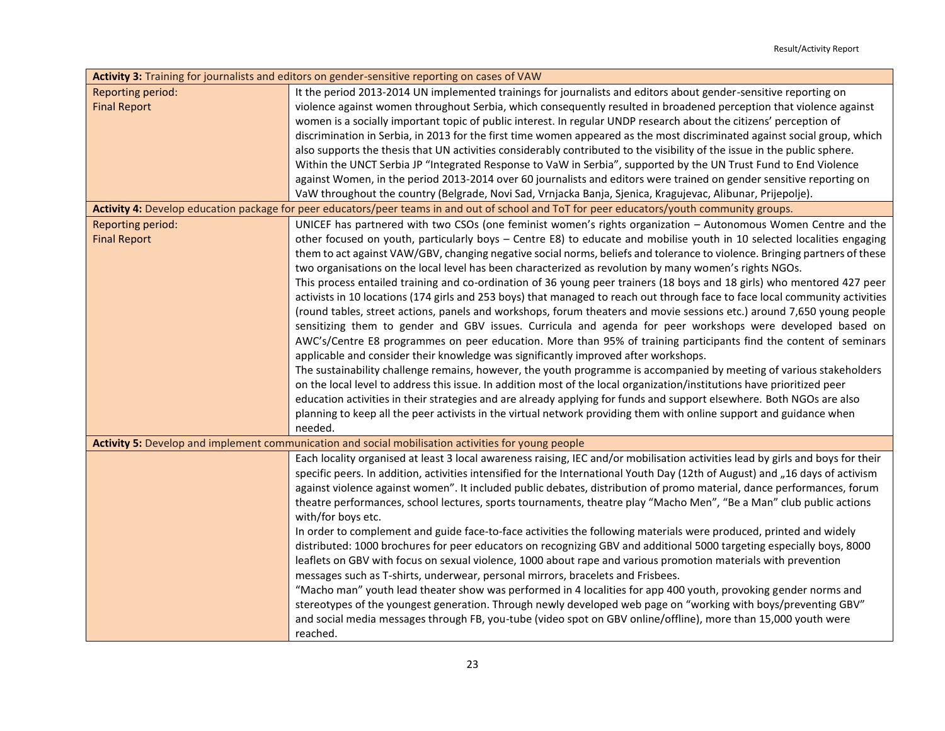| Activity 3: Training for journalists and editors on gender-sensitive reporting on cases of VAW |                                                                                                                                             |  |  |
|------------------------------------------------------------------------------------------------|---------------------------------------------------------------------------------------------------------------------------------------------|--|--|
| <b>Reporting period:</b>                                                                       | It the period 2013-2014 UN implemented trainings for journalists and editors about gender-sensitive reporting on                            |  |  |
| <b>Final Report</b>                                                                            | violence against women throughout Serbia, which consequently resulted in broadened perception that violence against                         |  |  |
|                                                                                                | women is a socially important topic of public interest. In regular UNDP research about the citizens' perception of                          |  |  |
|                                                                                                | discrimination in Serbia, in 2013 for the first time women appeared as the most discriminated against social group, which                   |  |  |
|                                                                                                | also supports the thesis that UN activities considerably contributed to the visibility of the issue in the public sphere.                   |  |  |
|                                                                                                | Within the UNCT Serbia JP "Integrated Response to VaW in Serbia", supported by the UN Trust Fund to End Violence                            |  |  |
|                                                                                                | against Women, in the period 2013-2014 over 60 journalists and editors were trained on gender sensitive reporting on                        |  |  |
|                                                                                                | VaW throughout the country (Belgrade, Novi Sad, Vrnjacka Banja, Sjenica, Kragujevac, Alibunar, Prijepolje).                                 |  |  |
|                                                                                                | Activity 4: Develop education package for peer educators/peer teams in and out of school and ToT for peer educators/youth community groups. |  |  |
| Reporting period:                                                                              | UNICEF has partnered with two CSOs (one feminist women's rights organization - Autonomous Women Centre and the                              |  |  |
| <b>Final Report</b>                                                                            | other focused on youth, particularly boys - Centre E8) to educate and mobilise youth in 10 selected localities engaging                     |  |  |
|                                                                                                | them to act against VAW/GBV, changing negative social norms, beliefs and tolerance to violence. Bringing partners of these                  |  |  |
|                                                                                                | two organisations on the local level has been characterized as revolution by many women's rights NGOs.                                      |  |  |
|                                                                                                | This process entailed training and co-ordination of 36 young peer trainers (18 boys and 18 girls) who mentored 427 peer                     |  |  |
|                                                                                                | activists in 10 locations (174 girls and 253 boys) that managed to reach out through face to face local community activities                |  |  |
|                                                                                                | (round tables, street actions, panels and workshops, forum theaters and movie sessions etc.) around 7,650 young people                      |  |  |
|                                                                                                | sensitizing them to gender and GBV issues. Curricula and agenda for peer workshops were developed based on                                  |  |  |
|                                                                                                | AWC's/Centre E8 programmes on peer education. More than 95% of training participants find the content of seminars                           |  |  |
|                                                                                                | applicable and consider their knowledge was significantly improved after workshops.                                                         |  |  |
|                                                                                                | The sustainability challenge remains, however, the youth programme is accompanied by meeting of various stakeholders                        |  |  |
|                                                                                                | on the local level to address this issue. In addition most of the local organization/institutions have prioritized peer                     |  |  |
|                                                                                                | education activities in their strategies and are already applying for funds and support elsewhere. Both NGOs are also                       |  |  |
|                                                                                                | planning to keep all the peer activists in the virtual network providing them with online support and guidance when                         |  |  |
|                                                                                                | needed.                                                                                                                                     |  |  |
|                                                                                                | Activity 5: Develop and implement communication and social mobilisation activities for young people                                         |  |  |
|                                                                                                | Each locality organised at least 3 local awareness raising, IEC and/or mobilisation activities lead by girls and boys for their             |  |  |
|                                                                                                | specific peers. In addition, activities intensified for the International Youth Day (12th of August) and "16 days of activism               |  |  |
|                                                                                                | against violence against women". It included public debates, distribution of promo material, dance performances, forum                      |  |  |
|                                                                                                | theatre performances, school lectures, sports tournaments, theatre play "Macho Men", "Be a Man" club public actions                         |  |  |
|                                                                                                | with/for boys etc.                                                                                                                          |  |  |
|                                                                                                | In order to complement and guide face-to-face activities the following materials were produced, printed and widely                          |  |  |
|                                                                                                | distributed: 1000 brochures for peer educators on recognizing GBV and additional 5000 targeting especially boys, 8000                       |  |  |
|                                                                                                | leaflets on GBV with focus on sexual violence, 1000 about rape and various promotion materials with prevention                              |  |  |
|                                                                                                | messages such as T-shirts, underwear, personal mirrors, bracelets and Frisbees.                                                             |  |  |
|                                                                                                | "Macho man" youth lead theater show was performed in 4 localities for app 400 youth, provoking gender norms and                             |  |  |
|                                                                                                | stereotypes of the youngest generation. Through newly developed web page on "working with boys/preventing GBV"                              |  |  |
|                                                                                                | and social media messages through FB, you-tube (video spot on GBV online/offline), more than 15,000 youth were                              |  |  |
|                                                                                                | reached.                                                                                                                                    |  |  |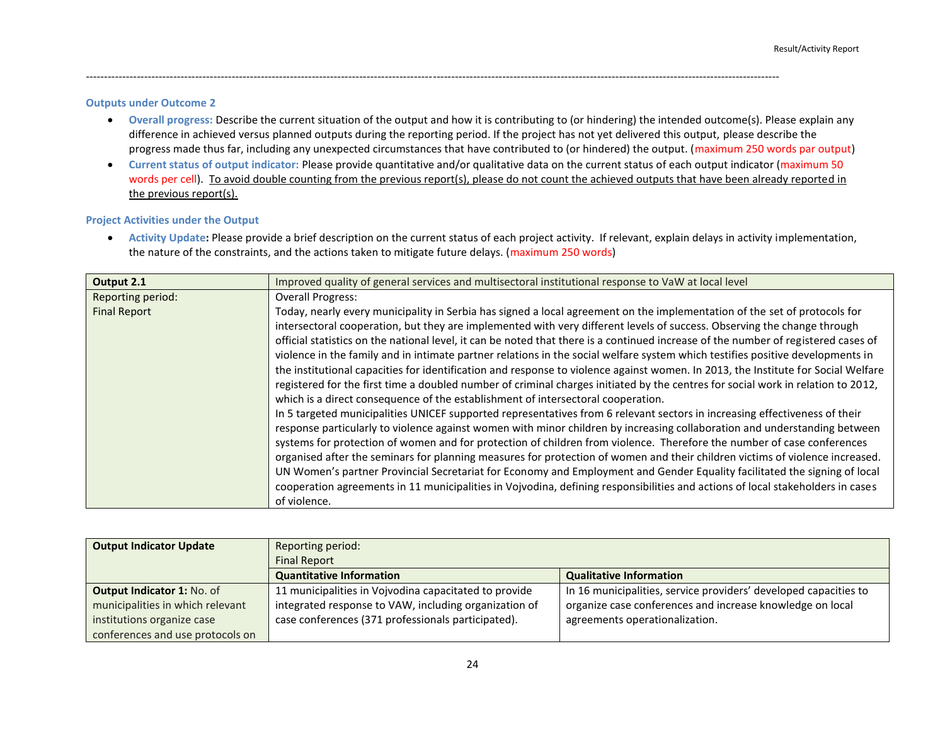#### **Outputs under Outcome 2**

 **Overall progress:** Describe the current situation of the output and how it is contributing to (or hindering) the intended outcome(s). Please explain any difference in achieved versus planned outputs during the reporting period. If the project has not yet delivered this output, please describe the progress made thus far, including any unexpected circumstances that have contributed to (or hindered) the output. (maximum 250 words par output)

----------------------------------------------------------------------------------------------------------------------------------------------------------------------------------------------

 **Current status of output indicator:** Please provide quantitative and/or qualitative data on the current status of each output indicator (maximum 50 words per cell). To avoid double counting from the previous report(s), please do not count the achieved outputs that have been already reported in the previous report(s).

#### **Project Activities under the Output**

 **Activity Update:** Please provide a brief description on the current status of each project activity. If relevant, explain delays in activity implementation, the nature of the constraints, and the actions taken to mitigate future delays. (maximum 250 words)

| Output 2.1          | Improved quality of general services and multisectoral institutional response to VaW at local level                                |  |
|---------------------|------------------------------------------------------------------------------------------------------------------------------------|--|
| Reporting period:   | <b>Overall Progress:</b>                                                                                                           |  |
| <b>Final Report</b> | Today, nearly every municipality in Serbia has signed a local agreement on the implementation of the set of protocols for          |  |
|                     | intersectoral cooperation, but they are implemented with very different levels of success. Observing the change through            |  |
|                     | official statistics on the national level, it can be noted that there is a continued increase of the number of registered cases of |  |
|                     | violence in the family and in intimate partner relations in the social welfare system which testifies positive developments in     |  |
|                     | the institutional capacities for identification and response to violence against women. In 2013, the Institute for Social Welfare  |  |
|                     | registered for the first time a doubled number of criminal charges initiated by the centres for social work in relation to 2012,   |  |
|                     | which is a direct consequence of the establishment of intersectoral cooperation.                                                   |  |
|                     | In 5 targeted municipalities UNICEF supported representatives from 6 relevant sectors in increasing effectiveness of their         |  |
|                     | response particularly to violence against women with minor children by increasing collaboration and understanding between          |  |
|                     | systems for protection of women and for protection of children from violence. Therefore the number of case conferences             |  |
|                     | organised after the seminars for planning measures for protection of women and their children victims of violence increased.       |  |
|                     | UN Women's partner Provincial Secretariat for Economy and Employment and Gender Equality facilitated the signing of local          |  |
|                     | cooperation agreements in 11 municipalities in Vojvodina, defining responsibilities and actions of local stakeholders in cases     |  |
|                     | of violence.                                                                                                                       |  |

| <b>Output Indicator Update</b>    | Reporting period:                                     |                                                                  |  |
|-----------------------------------|-------------------------------------------------------|------------------------------------------------------------------|--|
|                                   | <b>Final Report</b>                                   |                                                                  |  |
|                                   | <b>Quantitative Information</b>                       | <b>Qualitative Information</b>                                   |  |
| <b>Output Indicator 1: No. of</b> | 11 municipalities in Vojvodina capacitated to provide | In 16 municipalities, service providers' developed capacities to |  |
| municipalities in which relevant  | integrated response to VAW, including organization of | organize case conferences and increase knowledge on local        |  |
| institutions organize case        | case conferences (371 professionals participated).    | agreements operationalization.                                   |  |
| conferences and use protocols on  |                                                       |                                                                  |  |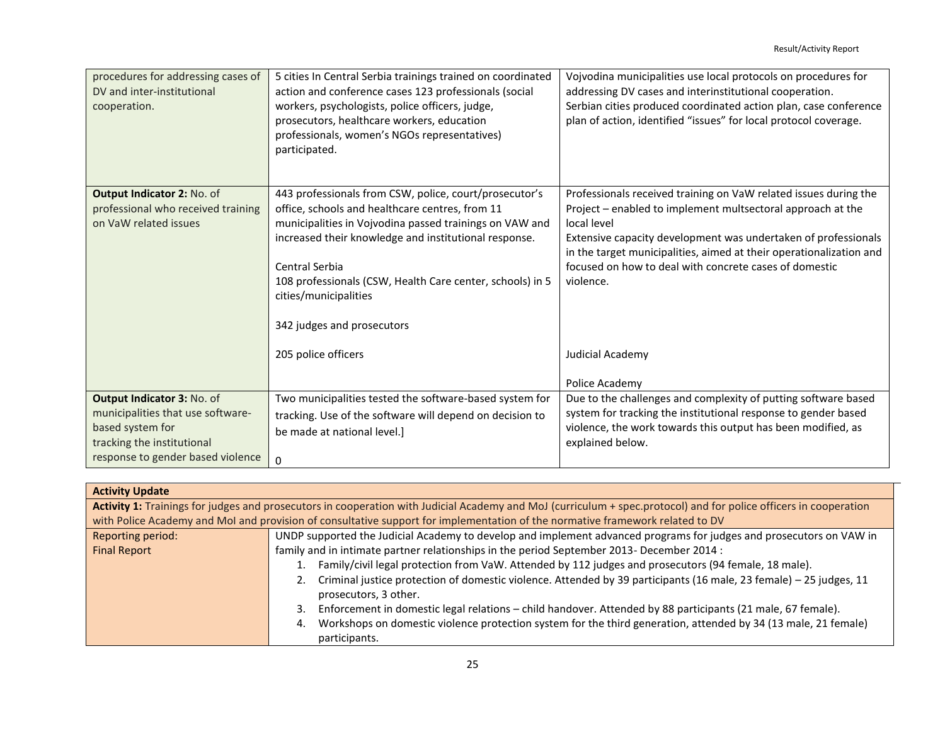| procedures for addressing cases of<br>DV and inter-institutional<br>cooperation.                                         | 5 cities In Central Serbia trainings trained on coordinated<br>action and conference cases 123 professionals (social<br>workers, psychologists, police officers, judge,<br>prosecutors, healthcare workers, education<br>professionals, women's NGOs representatives)<br>participated.                                                                              | Vojvodina municipalities use local protocols on procedures for<br>addressing DV cases and interinstitutional cooperation.<br>Serbian cities produced coordinated action plan, case conference<br>plan of action, identified "issues" for local protocol coverage.                                                                                              |
|--------------------------------------------------------------------------------------------------------------------------|---------------------------------------------------------------------------------------------------------------------------------------------------------------------------------------------------------------------------------------------------------------------------------------------------------------------------------------------------------------------|----------------------------------------------------------------------------------------------------------------------------------------------------------------------------------------------------------------------------------------------------------------------------------------------------------------------------------------------------------------|
| Output Indicator 2: No. of<br>professional who received training<br>on VaW related issues                                | 443 professionals from CSW, police, court/prosecutor's<br>office, schools and healthcare centres, from 11<br>municipalities in Vojvodina passed trainings on VAW and<br>increased their knowledge and institutional response.<br>Central Serbia<br>108 professionals (CSW, Health Care center, schools) in 5<br>cities/municipalities<br>342 judges and prosecutors | Professionals received training on VaW related issues during the<br>Project - enabled to implement multsectoral approach at the<br>local level<br>Extensive capacity development was undertaken of professionals<br>in the target municipalities, aimed at their operationalization and<br>focused on how to deal with concrete cases of domestic<br>violence. |
|                                                                                                                          | 205 police officers                                                                                                                                                                                                                                                                                                                                                 | Judicial Academy<br>Police Academy                                                                                                                                                                                                                                                                                                                             |
| Output Indicator 3: No. of                                                                                               | Two municipalities tested the software-based system for                                                                                                                                                                                                                                                                                                             | Due to the challenges and complexity of putting software based                                                                                                                                                                                                                                                                                                 |
| municipalities that use software-<br>based system for<br>tracking the institutional<br>response to gender based violence | tracking. Use of the software will depend on decision to<br>be made at national level.]<br>0                                                                                                                                                                                                                                                                        | system for tracking the institutional response to gender based<br>violence, the work towards this output has been modified, as<br>explained below.                                                                                                                                                                                                             |

| <b>Activity Update</b>                                                                                                                                            |                                                                                                                               |  |
|-------------------------------------------------------------------------------------------------------------------------------------------------------------------|-------------------------------------------------------------------------------------------------------------------------------|--|
| Activity 1: Trainings for judges and prosecutors in cooperation with Judicial Academy and MoJ (curriculum + spec.protocol) and for police officers in cooperation |                                                                                                                               |  |
|                                                                                                                                                                   | with Police Academy and MoI and provision of consultative support for implementation of the normative framework related to DV |  |
| Reporting period:                                                                                                                                                 | UNDP supported the Judicial Academy to develop and implement advanced programs for judges and prosecutors on VAW in           |  |
| <b>Final Report</b>                                                                                                                                               | family and in intimate partner relationships in the period September 2013- December 2014 :                                    |  |
|                                                                                                                                                                   | Family/civil legal protection from VaW. Attended by 112 judges and prosecutors (94 female, 18 male).                          |  |
|                                                                                                                                                                   | Criminal justice protection of domestic violence. Attended by 39 participants (16 male, 23 female) – 25 judges, 11            |  |
|                                                                                                                                                                   | prosecutors, 3 other.                                                                                                         |  |
|                                                                                                                                                                   | Enforcement in domestic legal relations - child handover. Attended by 88 participants (21 male, 67 female).<br>3.             |  |
|                                                                                                                                                                   | Workshops on domestic violence protection system for the third generation, attended by 34 (13 male, 21 female)<br>4.          |  |
|                                                                                                                                                                   | participants.                                                                                                                 |  |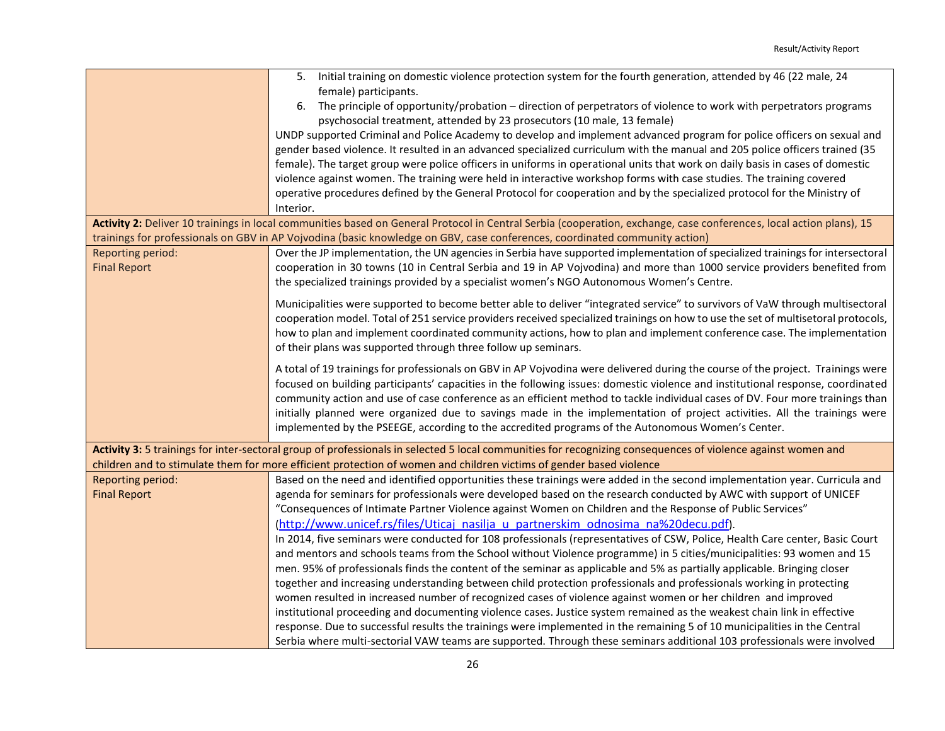|                                                 | 5. Initial training on domestic violence protection system for the fourth generation, attended by 46 (22 male, 24                                                                                                                                           |
|-------------------------------------------------|-------------------------------------------------------------------------------------------------------------------------------------------------------------------------------------------------------------------------------------------------------------|
|                                                 | female) participants.                                                                                                                                                                                                                                       |
|                                                 | The principle of opportunity/probation – direction of perpetrators of violence to work with perpetrators programs<br>6.                                                                                                                                     |
|                                                 | psychosocial treatment, attended by 23 prosecutors (10 male, 13 female)                                                                                                                                                                                     |
|                                                 | UNDP supported Criminal and Police Academy to develop and implement advanced program for police officers on sexual and                                                                                                                                      |
|                                                 | gender based violence. It resulted in an advanced specialized curriculum with the manual and 205 police officers trained (35                                                                                                                                |
|                                                 | female). The target group were police officers in uniforms in operational units that work on daily basis in cases of domestic                                                                                                                               |
|                                                 | violence against women. The training were held in interactive workshop forms with case studies. The training covered                                                                                                                                        |
|                                                 | operative procedures defined by the General Protocol for cooperation and by the specialized protocol for the Ministry of                                                                                                                                    |
|                                                 | Interior.                                                                                                                                                                                                                                                   |
|                                                 | Activity 2: Deliver 10 trainings in local communities based on General Protocol in Central Serbia (cooperation, exchange, case conferences, local action plans), 15                                                                                         |
|                                                 | trainings for professionals on GBV in AP Vojvodina (basic knowledge on GBV, case conferences, coordinated community action)                                                                                                                                 |
| <b>Reporting period:</b><br><b>Final Report</b> | Over the JP implementation, the UN agencies in Serbia have supported implementation of specialized trainings for intersectoral<br>cooperation in 30 towns (10 in Central Serbia and 19 in AP Vojvodina) and more than 1000 service providers benefited from |
|                                                 | the specialized trainings provided by a specialist women's NGO Autonomous Women's Centre.                                                                                                                                                                   |
|                                                 |                                                                                                                                                                                                                                                             |
|                                                 | Municipalities were supported to become better able to deliver "integrated service" to survivors of VaW through multisectoral                                                                                                                               |
|                                                 | cooperation model. Total of 251 service providers received specialized trainings on how to use the set of multisetoral protocols,                                                                                                                           |
|                                                 | how to plan and implement coordinated community actions, how to plan and implement conference case. The implementation                                                                                                                                      |
|                                                 | of their plans was supported through three follow up seminars.                                                                                                                                                                                              |
|                                                 | A total of 19 trainings for professionals on GBV in AP Vojvodina were delivered during the course of the project. Trainings were                                                                                                                            |
|                                                 | focused on building participants' capacities in the following issues: domestic violence and institutional response, coordinated                                                                                                                             |
|                                                 | community action and use of case conference as an efficient method to tackle individual cases of DV. Four more trainings than                                                                                                                               |
|                                                 | initially planned were organized due to savings made in the implementation of project activities. All the trainings were                                                                                                                                    |
|                                                 | implemented by the PSEEGE, according to the accredited programs of the Autonomous Women's Center.                                                                                                                                                           |
|                                                 | Activity 3: 5 trainings for inter-sectoral group of professionals in selected 5 local communities for recognizing consequences of violence against women and                                                                                                |
|                                                 | children and to stimulate them for more efficient protection of women and children victims of gender based violence                                                                                                                                         |
| Reporting period:                               | Based on the need and identified opportunities these trainings were added in the second implementation year. Curricula and                                                                                                                                  |
| <b>Final Report</b>                             | agenda for seminars for professionals were developed based on the research conducted by AWC with support of UNICEF                                                                                                                                          |
|                                                 | "Consequences of Intimate Partner Violence against Women on Children and the Response of Public Services"                                                                                                                                                   |
|                                                 | (http://www.unicef.rs/files/Uticaj nasilja u partnerskim odnosima na%20decu.pdf).                                                                                                                                                                           |
|                                                 | In 2014, five seminars were conducted for 108 professionals (representatives of CSW, Police, Health Care center, Basic Court                                                                                                                                |
|                                                 | and mentors and schools teams from the School without Violence programme) in 5 cities/municipalities: 93 women and 15                                                                                                                                       |
|                                                 | men. 95% of professionals finds the content of the seminar as applicable and 5% as partially applicable. Bringing closer                                                                                                                                    |
|                                                 | together and increasing understanding between child protection professionals and professionals working in protecting                                                                                                                                        |
|                                                 | women resulted in increased number of recognized cases of violence against women or her children and improved                                                                                                                                               |
|                                                 | institutional proceeding and documenting violence cases. Justice system remained as the weakest chain link in effective                                                                                                                                     |
|                                                 | response. Due to successful results the trainings were implemented in the remaining 5 of 10 municipalities in the Central                                                                                                                                   |
|                                                 | Serbia where multi-sectorial VAW teams are supported. Through these seminars additional 103 professionals were involved                                                                                                                                     |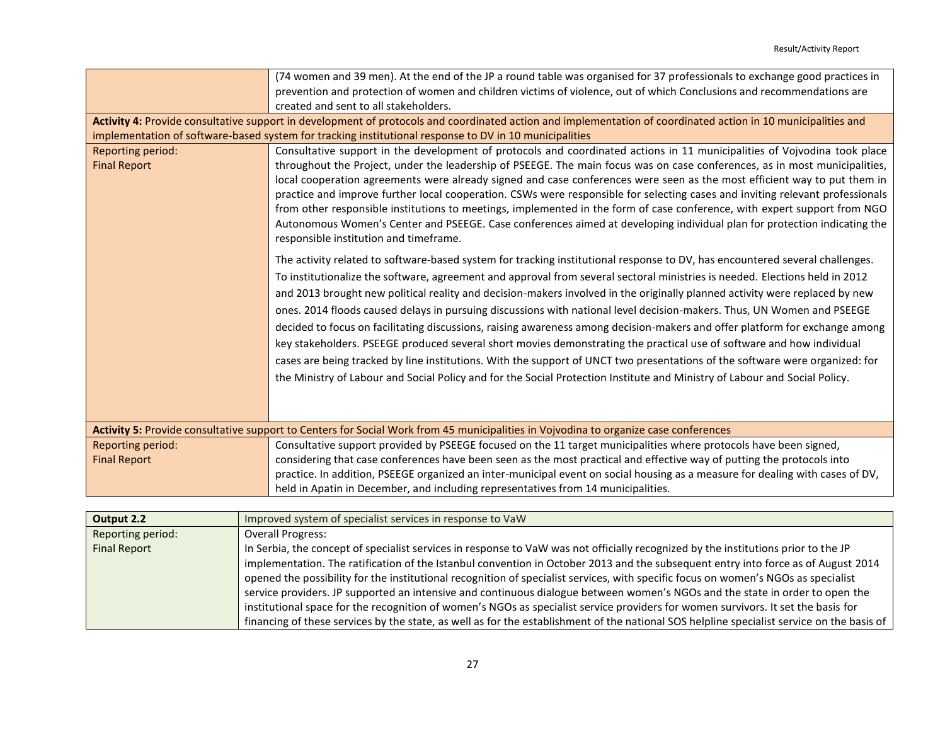|                     | (74 women and 39 men). At the end of the JP a round table was organised for 37 professionals to exchange good practices in                                    |  |  |
|---------------------|---------------------------------------------------------------------------------------------------------------------------------------------------------------|--|--|
|                     | prevention and protection of women and children victims of violence, out of which Conclusions and recommendations are                                         |  |  |
|                     | created and sent to all stakeholders.                                                                                                                         |  |  |
|                     | Activity 4: Provide consultative support in development of protocols and coordinated action and implementation of coordinated action in 10 municipalities and |  |  |
|                     | implementation of software-based system for tracking institutional response to DV in 10 municipalities                                                        |  |  |
| Reporting period:   | Consultative support in the development of protocols and coordinated actions in 11 municipalities of Vojvodina took place                                     |  |  |
| <b>Final Report</b> | throughout the Project, under the leadership of PSEEGE. The main focus was on case conferences, as in most municipalities,                                    |  |  |
|                     | local cooperation agreements were already signed and case conferences were seen as the most efficient way to put them in                                      |  |  |
|                     | practice and improve further local cooperation. CSWs were responsible for selecting cases and inviting relevant professionals                                 |  |  |
|                     | from other responsible institutions to meetings, implemented in the form of case conference, with expert support from NGO                                     |  |  |
|                     | Autonomous Women's Center and PSEEGE. Case conferences aimed at developing individual plan for protection indicating the                                      |  |  |
|                     | responsible institution and timeframe.                                                                                                                        |  |  |
|                     | The activity related to software-based system for tracking institutional response to DV, has encountered several challenges.                                  |  |  |
|                     |                                                                                                                                                               |  |  |
|                     | To institutionalize the software, agreement and approval from several sectoral ministries is needed. Elections held in 2012                                   |  |  |
|                     | and 2013 brought new political reality and decision-makers involved in the originally planned activity were replaced by new                                   |  |  |
|                     | ones. 2014 floods caused delays in pursuing discussions with national level decision-makers. Thus, UN Women and PSEEGE                                        |  |  |
|                     | decided to focus on facilitating discussions, raising awareness among decision-makers and offer platform for exchange among                                   |  |  |
|                     | key stakeholders. PSEEGE produced several short movies demonstrating the practical use of software and how individual                                         |  |  |
|                     | cases are being tracked by line institutions. With the support of UNCT two presentations of the software were organized: for                                  |  |  |
|                     | the Ministry of Labour and Social Policy and for the Social Protection Institute and Ministry of Labour and Social Policy.                                    |  |  |
|                     |                                                                                                                                                               |  |  |
|                     |                                                                                                                                                               |  |  |
|                     |                                                                                                                                                               |  |  |
|                     | Activity 5: Provide consultative support to Centers for Social Work from 45 municipalities in Vojvodina to organize case conferences                          |  |  |
| Reporting period:   | Consultative support provided by PSEEGE focused on the 11 target municipalities where protocols have been signed,                                             |  |  |
| <b>Final Report</b> | considering that case conferences have been seen as the most practical and effective way of putting the protocols into                                        |  |  |
|                     | practice. In addition, PSEEGE organized an inter-municipal event on social housing as a measure for dealing with cases of DV,                                 |  |  |
|                     | held in Apatin in December, and including representatives from 14 municipalities.                                                                             |  |  |

| Output 2.2          | Improved system of specialist services in response to VaW                                                                                  |
|---------------------|--------------------------------------------------------------------------------------------------------------------------------------------|
| Reporting period:   | <b>Overall Progress:</b>                                                                                                                   |
| <b>Final Report</b> | In Serbia, the concept of specialist services in response to VaW was not officially recognized by the institutions prior to the JP         |
|                     | implementation. The ratification of the Istanbul convention in October 2013 and the subsequent entry into force as of August 2014          |
|                     | opened the possibility for the institutional recognition of specialist services, with specific focus on women's NGOs as specialist         |
|                     | service providers. JP supported an intensive and continuous dialogue between women's NGOs and the state in order to open the               |
|                     | institutional space for the recognition of women's NGOs as specialist service providers for women survivors. It set the basis for          |
|                     | financing of these services by the state, as well as for the establishment of the national SOS helpline specialist service on the basis of |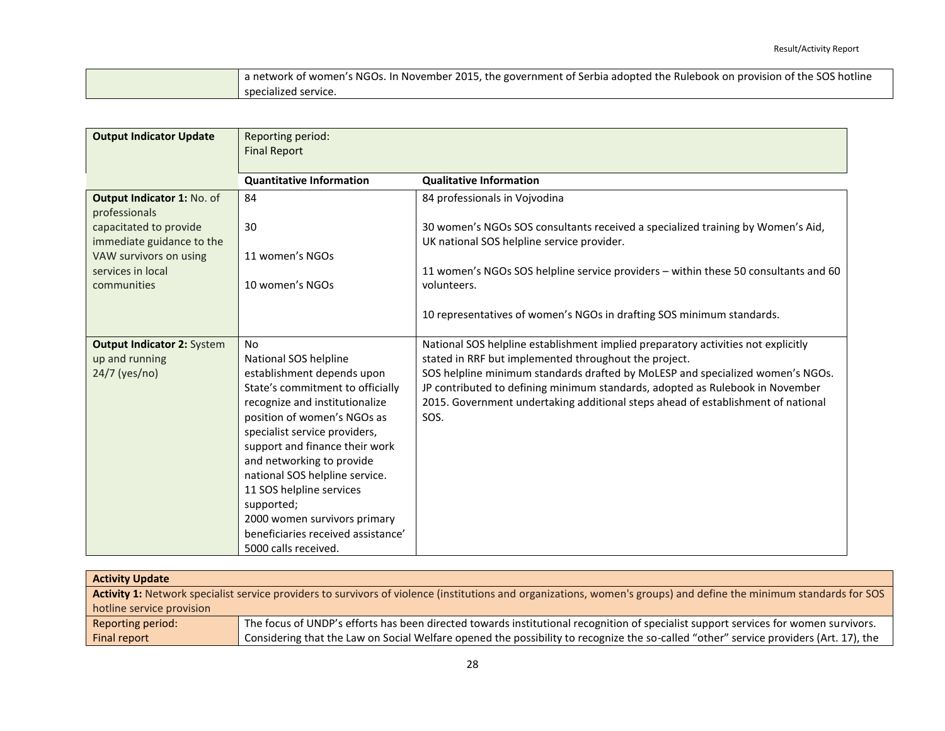| a network of women's NGOs. In November 2015, the government of Serbia adopted the Rulebook on provision of the SOS hotline |
|----------------------------------------------------------------------------------------------------------------------------|
| specialized service.                                                                                                       |

| <b>Output Indicator Update</b>              | Reporting period:<br><b>Final Report</b>                    |                                                                                     |  |  |
|---------------------------------------------|-------------------------------------------------------------|-------------------------------------------------------------------------------------|--|--|
|                                             |                                                             |                                                                                     |  |  |
|                                             | <b>Quantitative Information</b>                             | <b>Qualitative Information</b>                                                      |  |  |
| Output Indicator 1: No. of<br>professionals | 84                                                          | 84 professionals in Vojvodina                                                       |  |  |
| capacitated to provide                      | 30                                                          | 30 women's NGOs SOS consultants received a specialized training by Women's Aid,     |  |  |
| immediate guidance to the                   |                                                             | UK national SOS helpline service provider.                                          |  |  |
| VAW survivors on using                      | 11 women's NGOs                                             |                                                                                     |  |  |
| services in local                           |                                                             | 11 women's NGOs SOS helpline service providers - within these 50 consultants and 60 |  |  |
| communities                                 | 10 women's NGOs                                             | volunteers.                                                                         |  |  |
|                                             |                                                             | 10 representatives of women's NGOs in drafting SOS minimum standards.               |  |  |
| <b>Output Indicator 2: System</b>           | N <sub>o</sub>                                              | National SOS helpline establishment implied preparatory activities not explicitly   |  |  |
| up and running                              | National SOS helpline                                       | stated in RRF but implemented throughout the project.                               |  |  |
| 24/7 (yes/no)                               | establishment depends upon                                  | SOS helpline minimum standards drafted by MoLESP and specialized women's NGOs.      |  |  |
|                                             | State's commitment to officially                            | JP contributed to defining minimum standards, adopted as Rulebook in November       |  |  |
|                                             | recognize and institutionalize                              | 2015. Government undertaking additional steps ahead of establishment of national    |  |  |
|                                             | position of women's NGOs as                                 | SOS.                                                                                |  |  |
|                                             | specialist service providers,                               |                                                                                     |  |  |
|                                             | support and finance their work                              |                                                                                     |  |  |
|                                             | and networking to provide<br>national SOS helpline service. |                                                                                     |  |  |
|                                             | 11 SOS helpline services                                    |                                                                                     |  |  |
|                                             | supported;                                                  |                                                                                     |  |  |
|                                             | 2000 women survivors primary                                |                                                                                     |  |  |
|                                             | beneficiaries received assistance'                          |                                                                                     |  |  |
|                                             | 5000 calls received.                                        |                                                                                     |  |  |

| <b>Activity Update</b>                                                                                                                                              |                                                                                                                                       |  |
|---------------------------------------------------------------------------------------------------------------------------------------------------------------------|---------------------------------------------------------------------------------------------------------------------------------------|--|
| Activity 1: Network specialist service providers to survivors of violence (institutions and organizations, women's groups) and define the minimum standards for SOS |                                                                                                                                       |  |
| hotline service provision                                                                                                                                           |                                                                                                                                       |  |
| Reporting period:                                                                                                                                                   | The focus of UNDP's efforts has been directed towards institutional recognition of specialist support services for women survivors.   |  |
| Final report                                                                                                                                                        | Considering that the Law on Social Welfare opened the possibility to recognize the so-called "other" service providers (Art. 17), the |  |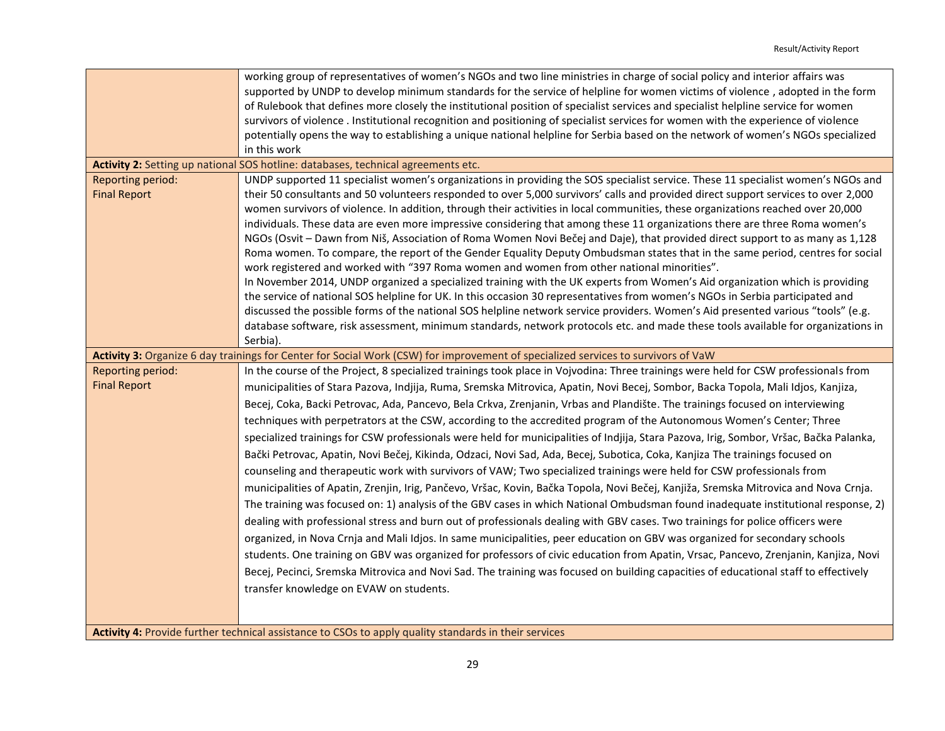|                     | working group of representatives of women's NGOs and two line ministries in charge of social policy and interior affairs was                                                                                                |
|---------------------|-----------------------------------------------------------------------------------------------------------------------------------------------------------------------------------------------------------------------------|
|                     | supported by UNDP to develop minimum standards for the service of helpline for women victims of violence, adopted in the form                                                                                               |
|                     | of Rulebook that defines more closely the institutional position of specialist services and specialist helpline service for women                                                                                           |
|                     | survivors of violence. Institutional recognition and positioning of specialist services for women with the experience of violence                                                                                           |
|                     | potentially opens the way to establishing a unique national helpline for Serbia based on the network of women's NGOs specialized                                                                                            |
|                     | in this work                                                                                                                                                                                                                |
|                     | Activity 2: Setting up national SOS hotline: databases, technical agreements etc.                                                                                                                                           |
| Reporting period:   | UNDP supported 11 specialist women's organizations in providing the SOS specialist service. These 11 specialist women's NGOs and                                                                                            |
| <b>Final Report</b> | their 50 consultants and 50 volunteers responded to over 5,000 survivors' calls and provided direct support services to over 2,000                                                                                          |
|                     | women survivors of violence. In addition, through their activities in local communities, these organizations reached over 20,000                                                                                            |
|                     | individuals. These data are even more impressive considering that among these 11 organizations there are three Roma women's                                                                                                 |
|                     | NGOs (Osvit - Dawn from Niš, Association of Roma Women Novi Bečej and Daje), that provided direct support to as many as 1,128                                                                                               |
|                     | Roma women. To compare, the report of the Gender Equality Deputy Ombudsman states that in the same period, centres for social<br>work registered and worked with "397 Roma women and women from other national minorities". |
|                     | In November 2014, UNDP organized a specialized training with the UK experts from Women's Aid organization which is providing                                                                                                |
|                     | the service of national SOS helpline for UK. In this occasion 30 representatives from women's NGOs in Serbia participated and                                                                                               |
|                     | discussed the possible forms of the national SOS helpline network service providers. Women's Aid presented various "tools" (e.g.                                                                                            |
|                     | database software, risk assessment, minimum standards, network protocols etc. and made these tools available for organizations in                                                                                           |
|                     | Serbia).                                                                                                                                                                                                                    |
|                     | Activity 3: Organize 6 day trainings for Center for Social Work (CSW) for improvement of specialized services to survivors of VaW                                                                                           |
| Reporting period:   | In the course of the Project, 8 specialized trainings took place in Vojvodina: Three trainings were held for CSW professionals from                                                                                         |
| <b>Final Report</b> | municipalities of Stara Pazova, Indjija, Ruma, Sremska Mitrovica, Apatin, Novi Becej, Sombor, Backa Topola, Mali Idjos, Kanjiza,                                                                                            |
|                     | Becej, Coka, Backi Petrovac, Ada, Pancevo, Bela Crkva, Zrenjanin, Vrbas and Plandište. The trainings focused on interviewing                                                                                                |
|                     | techniques with perpetrators at the CSW, according to the accredited program of the Autonomous Women's Center; Three                                                                                                        |
|                     | specialized trainings for CSW professionals were held for municipalities of Indjija, Stara Pazova, Irig, Sombor, Vršac, Bačka Palanka,                                                                                      |
|                     | Bački Petrovac, Apatin, Novi Bečej, Kikinda, Odzaci, Novi Sad, Ada, Becej, Subotica, Coka, Kanjiza The trainings focused on                                                                                                 |
|                     | counseling and therapeutic work with survivors of VAW; Two specialized trainings were held for CSW professionals from                                                                                                       |
|                     | municipalities of Apatin, Zrenjin, Irig, Pančevo, Vršac, Kovin, Bačka Topola, Novi Bečej, Kanjiža, Sremska Mitrovica and Nova Crnja.                                                                                        |
|                     | The training was focused on: 1) analysis of the GBV cases in which National Ombudsman found inadequate institutional response, 2)                                                                                           |
|                     | dealing with professional stress and burn out of professionals dealing with GBV cases. Two trainings for police officers were                                                                                               |
|                     | organized, in Nova Crnja and Mali Idjos. In same municipalities, peer education on GBV was organized for secondary schools                                                                                                  |
|                     | students. One training on GBV was organized for professors of civic education from Apatin, Vrsac, Pancevo, Zrenjanin, Kanjiza, Novi                                                                                         |
|                     | Becej, Pecinci, Sremska Mitrovica and Novi Sad. The training was focused on building capacities of educational staff to effectively                                                                                         |
|                     |                                                                                                                                                                                                                             |
|                     | transfer knowledge on EVAW on students.                                                                                                                                                                                     |
|                     |                                                                                                                                                                                                                             |
|                     | Activity 4: Provide further technical assistance to CSOs to apply quality standards in their services                                                                                                                       |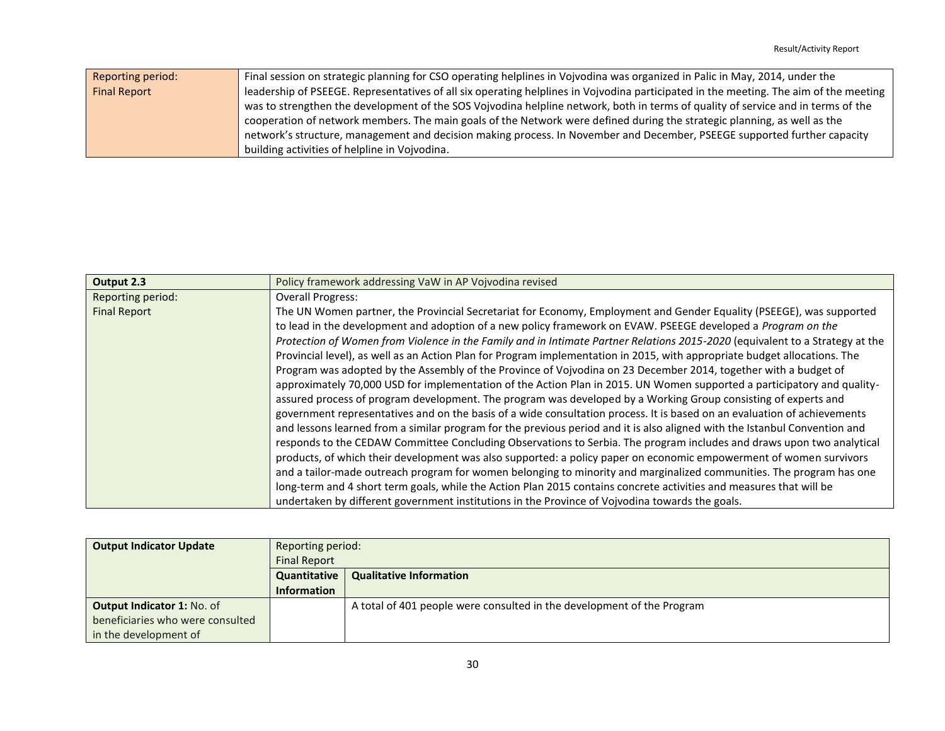| Reporting period:   | Final session on strategic planning for CSO operating helplines in Vojvodina was organized in Palic in May, 2014, under the           |
|---------------------|---------------------------------------------------------------------------------------------------------------------------------------|
| <b>Final Report</b> | leadership of PSEEGE. Representatives of all six operating helplines in Vojvodina participated in the meeting. The aim of the meeting |
|                     | was to strengthen the development of the SOS Vojvodina helpline network, both in terms of quality of service and in terms of the      |
|                     | cooperation of network members. The main goals of the Network were defined during the strategic planning, as well as the              |
|                     | network's structure, management and decision making process. In November and December, PSEEGE supported further capacity              |
|                     | building activities of helpline in Vojvodina.                                                                                         |

| Output 2.3          | Policy framework addressing VaW in AP Vojvodina revised                                                                      |  |  |
|---------------------|------------------------------------------------------------------------------------------------------------------------------|--|--|
| Reporting period:   | <b>Overall Progress:</b>                                                                                                     |  |  |
| <b>Final Report</b> | The UN Women partner, the Provincial Secretariat for Economy, Employment and Gender Equality (PSEEGE), was supported         |  |  |
|                     | to lead in the development and adoption of a new policy framework on EVAW. PSEEGE developed a Program on the                 |  |  |
|                     | Protection of Women from Violence in the Family and in Intimate Partner Relations 2015-2020 (equivalent to a Strategy at the |  |  |
|                     | Provincial level), as well as an Action Plan for Program implementation in 2015, with appropriate budget allocations. The    |  |  |
|                     | Program was adopted by the Assembly of the Province of Vojvodina on 23 December 2014, together with a budget of              |  |  |
|                     | approximately 70,000 USD for implementation of the Action Plan in 2015. UN Women supported a participatory and quality-      |  |  |
|                     | assured process of program development. The program was developed by a Working Group consisting of experts and               |  |  |
|                     | government representatives and on the basis of a wide consultation process. It is based on an evaluation of achievements     |  |  |
|                     | and lessons learned from a similar program for the previous period and it is also aligned with the Istanbul Convention and   |  |  |
|                     | responds to the CEDAW Committee Concluding Observations to Serbia. The program includes and draws upon two analytical        |  |  |
|                     | products, of which their development was also supported: a policy paper on economic empowerment of women survivors           |  |  |
|                     | and a tailor-made outreach program for women belonging to minority and marginalized communities. The program has one         |  |  |
|                     | long-term and 4 short term goals, while the Action Plan 2015 contains concrete activities and measures that will be          |  |  |
|                     | undertaken by different government institutions in the Province of Vojvodina towards the goals.                              |  |  |

| <b>Output Indicator Update</b>   | Reporting period:<br><b>Final Report</b> |                                                                        |
|----------------------------------|------------------------------------------|------------------------------------------------------------------------|
|                                  | Quantitative                             | <b>Qualitative Information</b>                                         |
|                                  | <b>Information</b>                       |                                                                        |
| Output Indicator 1: No. of       |                                          | A total of 401 people were consulted in the development of the Program |
| beneficiaries who were consulted |                                          |                                                                        |
| in the development of            |                                          |                                                                        |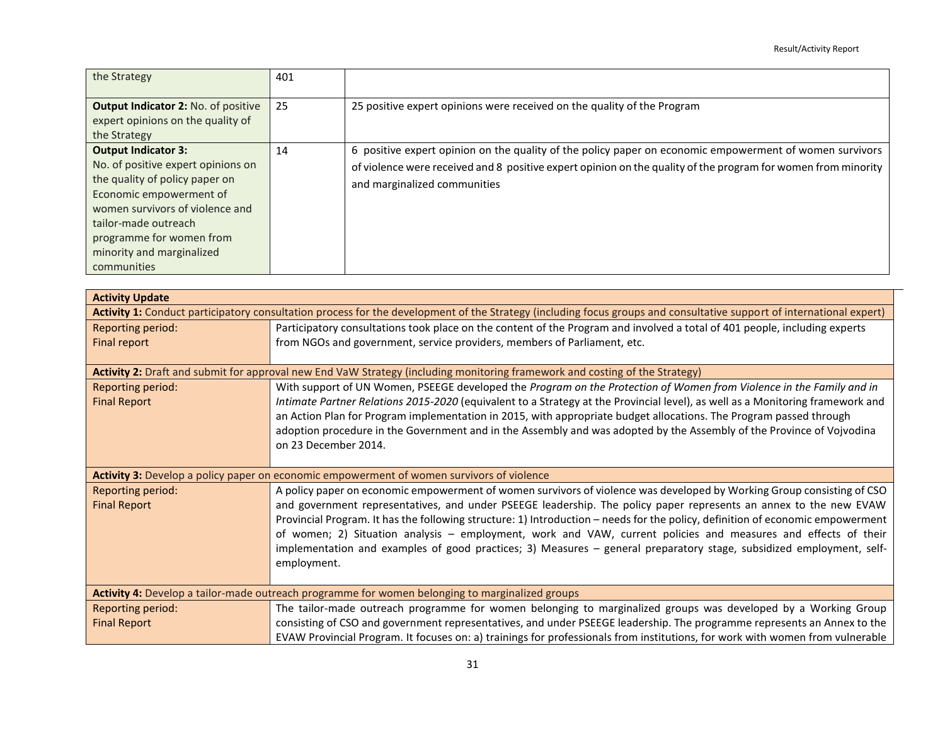| the Strategy                                                                                                                                                                                                                                                     | 401 |                                                                                                                                                                                                                                                          |
|------------------------------------------------------------------------------------------------------------------------------------------------------------------------------------------------------------------------------------------------------------------|-----|----------------------------------------------------------------------------------------------------------------------------------------------------------------------------------------------------------------------------------------------------------|
| <b>Output Indicator 2: No. of positive</b><br>expert opinions on the quality of<br>the Strategy                                                                                                                                                                  | 25  | 25 positive expert opinions were received on the quality of the Program                                                                                                                                                                                  |
| <b>Output Indicator 3:</b><br>No. of positive expert opinions on<br>the quality of policy paper on<br>Economic empowerment of<br>women survivors of violence and<br>tailor-made outreach<br>programme for women from<br>minority and marginalized<br>communities | 14  | 6 positive expert opinion on the quality of the policy paper on economic empowerment of women survivors<br>of violence were received and 8 positive expert opinion on the quality of the program for women from minority<br>and marginalized communities |

| <b>Activity Update</b>                                                                                                                                               |                                                                                                                                |  |
|----------------------------------------------------------------------------------------------------------------------------------------------------------------------|--------------------------------------------------------------------------------------------------------------------------------|--|
| Activity 1: Conduct participatory consultation process for the development of the Strategy (including focus groups and consultative support of international expert) |                                                                                                                                |  |
| Reporting period:                                                                                                                                                    | Participatory consultations took place on the content of the Program and involved a total of 401 people, including experts     |  |
| Final report                                                                                                                                                         | from NGOs and government, service providers, members of Parliament, etc.                                                       |  |
|                                                                                                                                                                      |                                                                                                                                |  |
| Activity 2: Draft and submit for approval new End VaW Strategy (including monitoring framework and costing of the Strategy)                                          |                                                                                                                                |  |
| Reporting period:                                                                                                                                                    | With support of UN Women, PSEEGE developed the Program on the Protection of Women from Violence in the Family and in           |  |
| <b>Final Report</b>                                                                                                                                                  | Intimate Partner Relations 2015-2020 (equivalent to a Strategy at the Provincial level), as well as a Monitoring framework and |  |
|                                                                                                                                                                      | an Action Plan for Program implementation in 2015, with appropriate budget allocations. The Program passed through             |  |
|                                                                                                                                                                      | adoption procedure in the Government and in the Assembly and was adopted by the Assembly of the Province of Vojvodina          |  |
|                                                                                                                                                                      | on 23 December 2014.                                                                                                           |  |
|                                                                                                                                                                      |                                                                                                                                |  |
| Activity 3: Develop a policy paper on economic empowerment of women survivors of violence                                                                            |                                                                                                                                |  |
|                                                                                                                                                                      |                                                                                                                                |  |
| Reporting period:                                                                                                                                                    | A policy paper on economic empowerment of women survivors of violence was developed by Working Group consisting of CSO         |  |
| <b>Final Report</b>                                                                                                                                                  | and government representatives, and under PSEEGE leadership. The policy paper represents an annex to the new EVAW              |  |
|                                                                                                                                                                      | Provincial Program. It has the following structure: 1) Introduction - needs for the policy, definition of economic empowerment |  |
|                                                                                                                                                                      | of women; 2) Situation analysis - employment, work and VAW, current policies and measures and effects of their                 |  |
|                                                                                                                                                                      | implementation and examples of good practices; 3) Measures - general preparatory stage, subsidized employment, self-           |  |
|                                                                                                                                                                      | employment.                                                                                                                    |  |
|                                                                                                                                                                      |                                                                                                                                |  |
|                                                                                                                                                                      | Activity 4: Develop a tailor-made outreach programme for women belonging to marginalized groups                                |  |
| Reporting period:                                                                                                                                                    | The tailor-made outreach programme for women belonging to marginalized groups was developed by a Working Group                 |  |
| <b>Final Report</b>                                                                                                                                                  | consisting of CSO and government representatives, and under PSEEGE leadership. The programme represents an Annex to the        |  |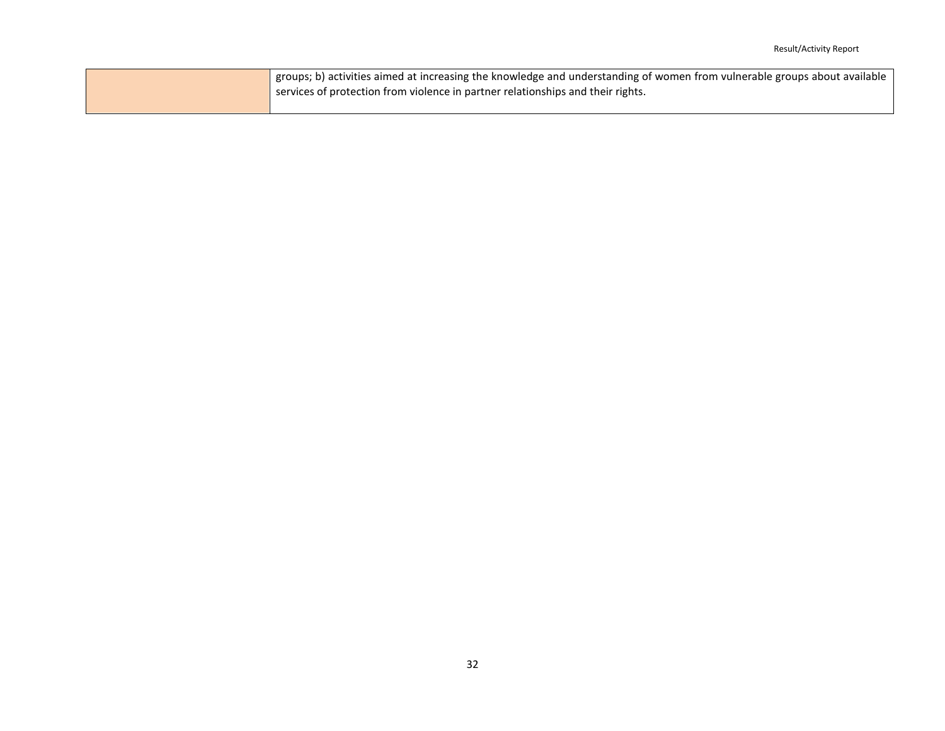| $\frac{1}{2}$ groups; b) activities aimed at increasing the knowledge and understanding of women from vulnerable groups about available |
|-----------------------------------------------------------------------------------------------------------------------------------------|
| services of protection from violence in partner relationships and their rights.                                                         |
|                                                                                                                                         |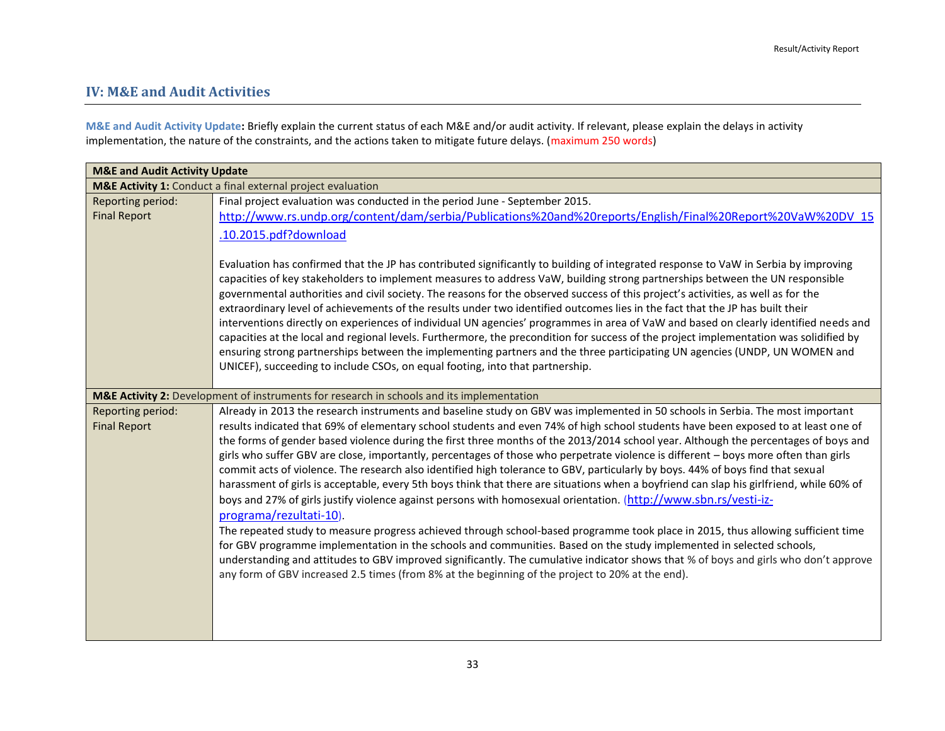### <span id="page-32-0"></span>**IV: M&E and Audit Activities**

**M&E and Audit Activity Update:** Briefly explain the current status of each M&E and/or audit activity. If relevant, please explain the delays in activity implementation, the nature of the constraints, and the actions taken to mitigate future delays. (maximum 250 words)

| <b>M&amp;E and Audit Activity Update</b>                    |                                                                                                                                                                                                                                                                                                                                                                                                                                                                                                                                                                                                                                                                                                                                                                                                                                                                                                                                                                                                                                                                                                                                                                                                                                                                                                                                                        |  |
|-------------------------------------------------------------|--------------------------------------------------------------------------------------------------------------------------------------------------------------------------------------------------------------------------------------------------------------------------------------------------------------------------------------------------------------------------------------------------------------------------------------------------------------------------------------------------------------------------------------------------------------------------------------------------------------------------------------------------------------------------------------------------------------------------------------------------------------------------------------------------------------------------------------------------------------------------------------------------------------------------------------------------------------------------------------------------------------------------------------------------------------------------------------------------------------------------------------------------------------------------------------------------------------------------------------------------------------------------------------------------------------------------------------------------------|--|
| M&E Activity 1: Conduct a final external project evaluation |                                                                                                                                                                                                                                                                                                                                                                                                                                                                                                                                                                                                                                                                                                                                                                                                                                                                                                                                                                                                                                                                                                                                                                                                                                                                                                                                                        |  |
| Reporting period:<br><b>Final Report</b>                    | Final project evaluation was conducted in the period June - September 2015.<br>http://www.rs.undp.org/content/dam/serbia/Publications%20and%20reports/English/Final%20Report%20VaW%20DV_15<br>.10.2015.pdf?download<br>Evaluation has confirmed that the JP has contributed significantly to building of integrated response to VaW in Serbia by improving<br>capacities of key stakeholders to implement measures to address VaW, building strong partnerships between the UN responsible<br>governmental authorities and civil society. The reasons for the observed success of this project's activities, as well as for the<br>extraordinary level of achievements of the results under two identified outcomes lies in the fact that the JP has built their<br>interventions directly on experiences of individual UN agencies' programmes in area of VaW and based on clearly identified needs and<br>capacities at the local and regional levels. Furthermore, the precondition for success of the project implementation was solidified by<br>ensuring strong partnerships between the implementing partners and the three participating UN agencies (UNDP, UN WOMEN and                                                                                                                                                                       |  |
|                                                             | UNICEF), succeeding to include CSOs, on equal footing, into that partnership.                                                                                                                                                                                                                                                                                                                                                                                                                                                                                                                                                                                                                                                                                                                                                                                                                                                                                                                                                                                                                                                                                                                                                                                                                                                                          |  |
| Reporting period:                                           | M&E Activity 2: Development of instruments for research in schools and its implementation<br>Already in 2013 the research instruments and baseline study on GBV was implemented in 50 schools in Serbia. The most important                                                                                                                                                                                                                                                                                                                                                                                                                                                                                                                                                                                                                                                                                                                                                                                                                                                                                                                                                                                                                                                                                                                            |  |
| <b>Final Report</b>                                         | results indicated that 69% of elementary school students and even 74% of high school students have been exposed to at least one of<br>the forms of gender based violence during the first three months of the 2013/2014 school year. Although the percentages of boys and<br>girls who suffer GBV are close, importantly, percentages of those who perpetrate violence is different - boys more often than girls<br>commit acts of violence. The research also identified high tolerance to GBV, particularly by boys. 44% of boys find that sexual<br>harassment of girls is acceptable, every 5th boys think that there are situations when a boyfriend can slap his girlfriend, while 60% of<br>boys and 27% of girls justify violence against persons with homosexual orientation. (http://www.sbn.rs/vesti-iz-<br>programa/rezultati-10).<br>The repeated study to measure progress achieved through school-based programme took place in 2015, thus allowing sufficient time<br>for GBV programme implementation in the schools and communities. Based on the study implemented in selected schools,<br>understanding and attitudes to GBV improved significantly. The cumulative indicator shows that % of boys and girls who don't approve<br>any form of GBV increased 2.5 times (from 8% at the beginning of the project to 20% at the end). |  |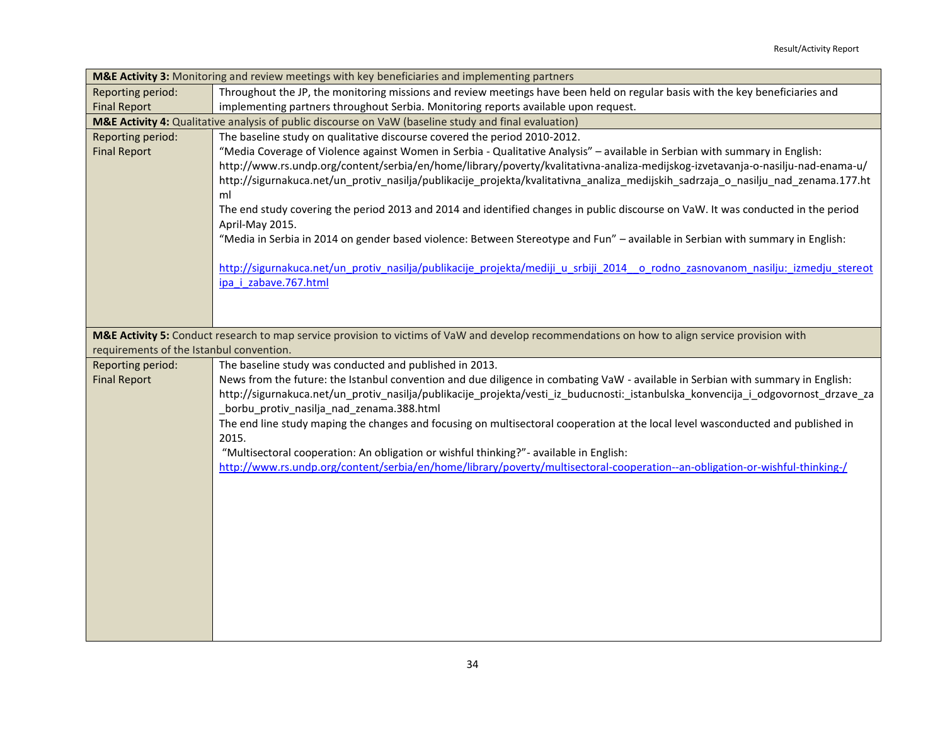| M&E Activity 3: Monitoring and review meetings with key beneficiaries and implementing partners |                                                                                                                                                |  |
|-------------------------------------------------------------------------------------------------|------------------------------------------------------------------------------------------------------------------------------------------------|--|
| Reporting period:                                                                               | Throughout the JP, the monitoring missions and review meetings have been held on regular basis with the key beneficiaries and                  |  |
| <b>Final Report</b>                                                                             | implementing partners throughout Serbia. Monitoring reports available upon request.                                                            |  |
|                                                                                                 | M&E Activity 4: Qualitative analysis of public discourse on VaW (baseline study and final evaluation)                                          |  |
| Reporting period:                                                                               | The baseline study on qualitative discourse covered the period 2010-2012.                                                                      |  |
| <b>Final Report</b>                                                                             | "Media Coverage of Violence against Women in Serbia - Qualitative Analysis" - available in Serbian with summary in English:                    |  |
|                                                                                                 | http://www.rs.undp.org/content/serbia/en/home/library/poverty/kvalitativna-analiza-medijskog-izvetavanja-o-nasilju-nad-enama-u/                |  |
|                                                                                                 | http://sigurnakuca.net/un_protiv_nasilja/publikacije_projekta/kvalitativna_analiza_medijskih_sadrzaja_o_nasilju_nad_zenama.177.ht              |  |
|                                                                                                 | ml                                                                                                                                             |  |
|                                                                                                 | The end study covering the period 2013 and 2014 and identified changes in public discourse on VaW. It was conducted in the period              |  |
|                                                                                                 | April-May 2015.                                                                                                                                |  |
|                                                                                                 | "Media in Serbia in 2014 on gender based violence: Between Stereotype and Fun" - available in Serbian with summary in English:                 |  |
|                                                                                                 | http://sigurnakuca.net/un protiv nasilja/publikacije projekta/mediji u srbiji 2014 o rodno zasnovanom nasilju: izmedju stereot                 |  |
|                                                                                                 | ipa i zabave.767.html                                                                                                                          |  |
|                                                                                                 |                                                                                                                                                |  |
|                                                                                                 |                                                                                                                                                |  |
|                                                                                                 |                                                                                                                                                |  |
| requirements of the Istanbul convention.                                                        | M&E Activity 5: Conduct research to map service provision to victims of VaW and develop recommendations on how to align service provision with |  |
| Reporting period:                                                                               | The baseline study was conducted and published in 2013.                                                                                        |  |
| <b>Final Report</b>                                                                             | News from the future: the Istanbul convention and due diligence in combating VaW - available in Serbian with summary in English:               |  |
|                                                                                                 | http://sigurnakuca.net/un_protiv_nasilja/publikacije_projekta/vesti_iz_buducnosti:_istanbulska_konvencija_i_odgovornost_drzave_za              |  |
|                                                                                                 | _borbu_protiv_nasilja_nad_zenama.388.html                                                                                                      |  |
|                                                                                                 | The end line study maping the changes and focusing on multisectoral cooperation at the local level wasconducted and published in               |  |
|                                                                                                 | 2015.                                                                                                                                          |  |
|                                                                                                 | "Multisectoral cooperation: An obligation or wishful thinking?" - available in English:                                                        |  |
|                                                                                                 | http://www.rs.undp.org/content/serbia/en/home/library/poverty/multisectoral-cooperation--an-obligation-or-wishful-thinking-/                   |  |
|                                                                                                 |                                                                                                                                                |  |
|                                                                                                 |                                                                                                                                                |  |
|                                                                                                 |                                                                                                                                                |  |
|                                                                                                 |                                                                                                                                                |  |
|                                                                                                 |                                                                                                                                                |  |
|                                                                                                 |                                                                                                                                                |  |
|                                                                                                 |                                                                                                                                                |  |
|                                                                                                 |                                                                                                                                                |  |
|                                                                                                 |                                                                                                                                                |  |
|                                                                                                 |                                                                                                                                                |  |
|                                                                                                 |                                                                                                                                                |  |